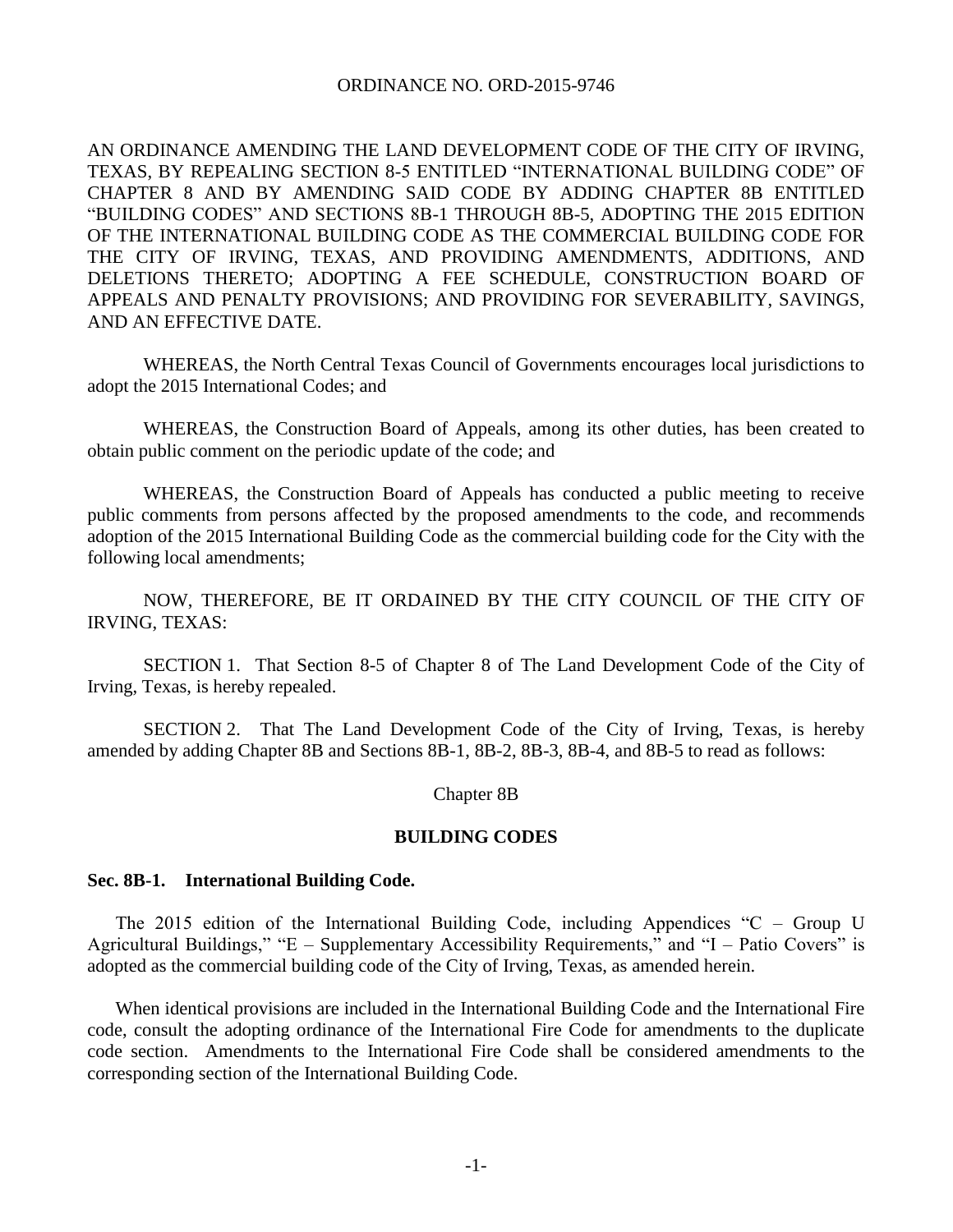### ORDINANCE NO. ORD-2015-9746

AN ORDINANCE AMENDING THE LAND DEVELOPMENT CODE OF THE CITY OF IRVING, TEXAS, BY REPEALING SECTION 8-5 ENTITLED "INTERNATIONAL BUILDING CODE" OF CHAPTER 8 AND BY AMENDING SAID CODE BY ADDING CHAPTER 8B ENTITLED "BUILDING CODES" AND SECTIONS 8B-1 THROUGH 8B-5, ADOPTING THE 2015 EDITION OF THE INTERNATIONAL BUILDING CODE AS THE COMMERCIAL BUILDING CODE FOR THE CITY OF IRVING, TEXAS, AND PROVIDING AMENDMENTS, ADDITIONS, AND DELETIONS THERETO; ADOPTING A FEE SCHEDULE, CONSTRUCTION BOARD OF APPEALS AND PENALTY PROVISIONS; AND PROVIDING FOR SEVERABILITY, SAVINGS, AND AN EFFECTIVE DATE.

WHEREAS, the North Central Texas Council of Governments encourages local jurisdictions to adopt the 2015 International Codes; and

WHEREAS, the Construction Board of Appeals, among its other duties, has been created to obtain public comment on the periodic update of the code; and

WHEREAS, the Construction Board of Appeals has conducted a public meeting to receive public comments from persons affected by the proposed amendments to the code, and recommends adoption of the 2015 International Building Code as the commercial building code for the City with the following local amendments;

NOW, THEREFORE, BE IT ORDAINED BY THE CITY COUNCIL OF THE CITY OF IRVING, TEXAS:

SECTION 1. That Section 8-5 of Chapter 8 of The Land Development Code of the City of Irving, Texas, is hereby repealed.

SECTION 2. That The Land Development Code of the City of Irving, Texas, is hereby amended by adding Chapter 8B and Sections 8B-1, 8B-2, 8B-3, 8B-4, and 8B-5 to read as follows:

### Chapter 8B

#### **BUILDING CODES**

#### **Sec. 8B-1. International Building Code.**

The 2015 edition of the International Building Code, including Appendices "C – Group U Agricultural Buildings," "E – Supplementary Accessibility Requirements," and "I – Patio Covers" is adopted as the commercial building code of the City of Irving, Texas, as amended herein.

When identical provisions are included in the International Building Code and the International Fire code, consult the adopting ordinance of the International Fire Code for amendments to the duplicate code section. Amendments to the International Fire Code shall be considered amendments to the corresponding section of the International Building Code.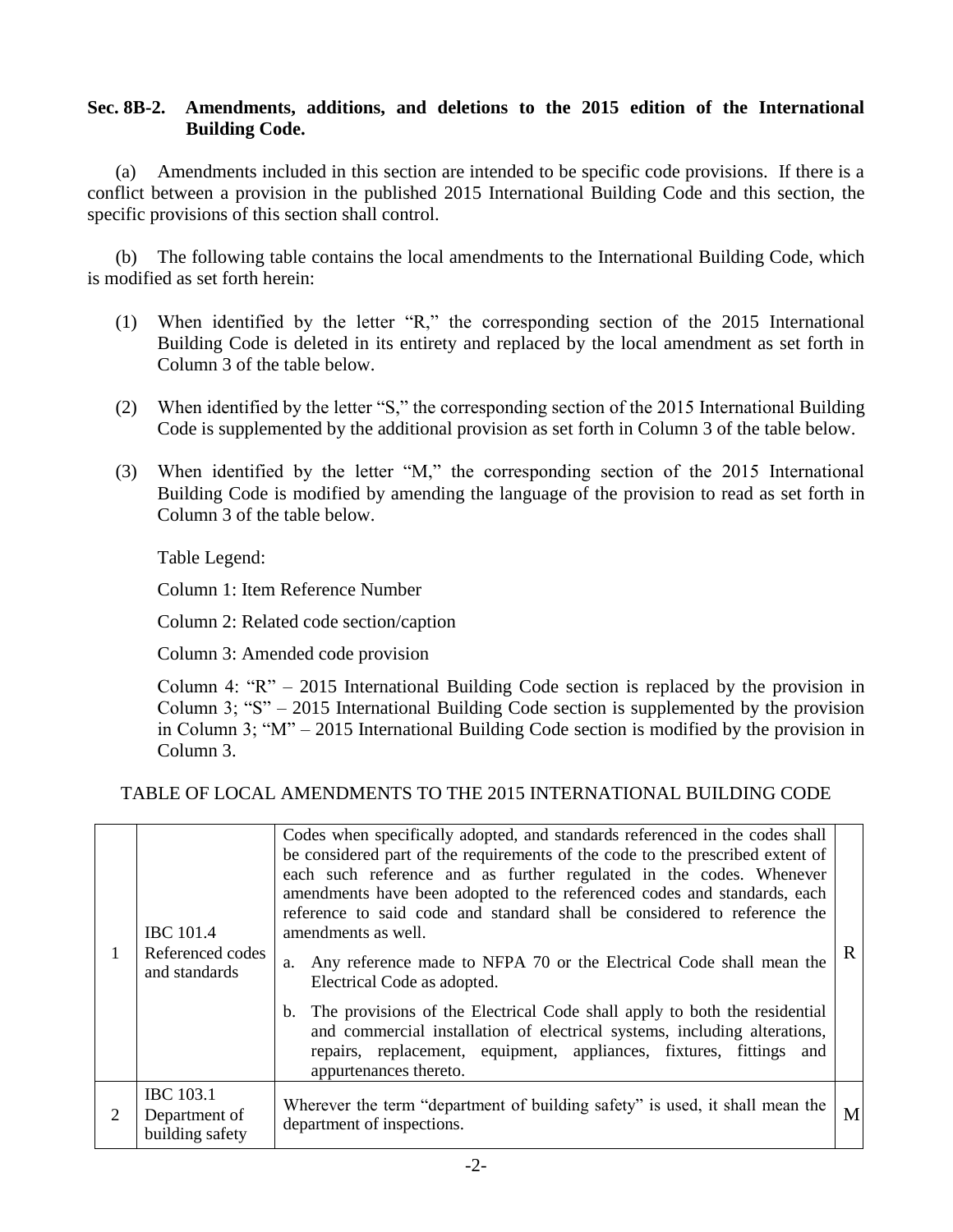# **Sec. 8B-2. Amendments, additions, and deletions to the 2015 edition of the International Building Code.**

(a) Amendments included in this section are intended to be specific code provisions. If there is a conflict between a provision in the published 2015 International Building Code and this section, the specific provisions of this section shall control.

(b) The following table contains the local amendments to the International Building Code, which is modified as set forth herein:

- (1) When identified by the letter "R," the corresponding section of the 2015 International Building Code is deleted in its entirety and replaced by the local amendment as set forth in Column 3 of the table below.
- (2) When identified by the letter "S," the corresponding section of the 2015 International Building Code is supplemented by the additional provision as set forth in Column 3 of the table below.
- (3) When identified by the letter "M," the corresponding section of the 2015 International Building Code is modified by amending the language of the provision to read as set forth in Column 3 of the table below.

Table Legend:

Column 1: Item Reference Number

Column 2: Related code section/caption

Column 3: Amended code provision

Column 4: "R" – 2015 International Building Code section is replaced by the provision in Column 3; "S" – 2015 International Building Code section is supplemented by the provision in Column 3; "M" – 2015 International Building Code section is modified by the provision in Column 3.

## TABLE OF LOCAL AMENDMENTS TO THE 2015 INTERNATIONAL BUILDING CODE

|   | <b>IBC</b> 101.4<br>Referenced codes<br>and standards | Codes when specifically adopted, and standards referenced in the codes shall<br>be considered part of the requirements of the code to the prescribed extent of<br>each such reference and as further regulated in the codes. Whenever<br>amendments have been adopted to the referenced codes and standards, each<br>reference to said code and standard shall be considered to reference the<br>amendments as well.<br>Any reference made to NFPA 70 or the Electrical Code shall mean the<br>a.<br>Electrical Code as adopted.<br>The provisions of the Electrical Code shall apply to both the residential<br>b.<br>and commercial installation of electrical systems, including alterations,<br>repairs, replacement, equipment, appliances, fixtures, fittings and<br>appurtenances thereto. | R |
|---|-------------------------------------------------------|---------------------------------------------------------------------------------------------------------------------------------------------------------------------------------------------------------------------------------------------------------------------------------------------------------------------------------------------------------------------------------------------------------------------------------------------------------------------------------------------------------------------------------------------------------------------------------------------------------------------------------------------------------------------------------------------------------------------------------------------------------------------------------------------------|---|
| 2 | <b>IBC</b> 103.1<br>Department of<br>building safety  | Wherever the term "department of building safety" is used, it shall mean the<br>department of inspections.                                                                                                                                                                                                                                                                                                                                                                                                                                                                                                                                                                                                                                                                                        | M |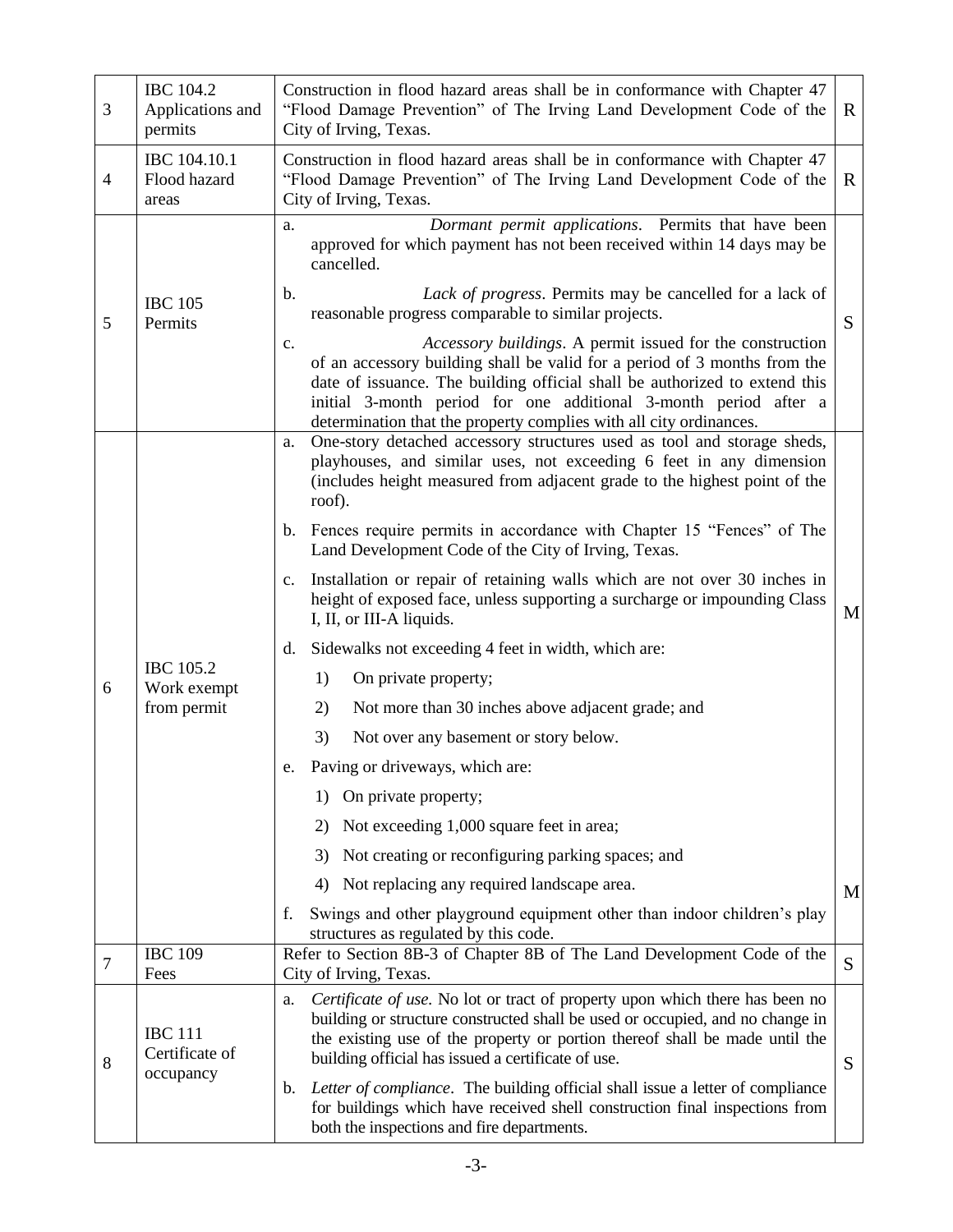| 3                                                                                                                                                                                                                                                                                                                                                                                                                                                                                                                                                                                   | <b>IBC</b> 104.2<br>Applications and<br>permits | Construction in flood hazard areas shall be in conformance with Chapter 47<br>"Flood Damage Prevention" of The Irving Land Development Code of the<br>$\mathbf{R}$<br>City of Irving, Texas.                                                                                                                                                                                                                                                                                                                                                                                                                                                                                                                                                                                                                                                                     |        |  |
|-------------------------------------------------------------------------------------------------------------------------------------------------------------------------------------------------------------------------------------------------------------------------------------------------------------------------------------------------------------------------------------------------------------------------------------------------------------------------------------------------------------------------------------------------------------------------------------|-------------------------------------------------|------------------------------------------------------------------------------------------------------------------------------------------------------------------------------------------------------------------------------------------------------------------------------------------------------------------------------------------------------------------------------------------------------------------------------------------------------------------------------------------------------------------------------------------------------------------------------------------------------------------------------------------------------------------------------------------------------------------------------------------------------------------------------------------------------------------------------------------------------------------|--------|--|
| $\overline{4}$                                                                                                                                                                                                                                                                                                                                                                                                                                                                                                                                                                      | IBC 104.10.1<br>Flood hazard<br>areas           | Construction in flood hazard areas shall be in conformance with Chapter 47<br>"Flood Damage Prevention" of The Irving Land Development Code of the<br>R<br>City of Irving, Texas.                                                                                                                                                                                                                                                                                                                                                                                                                                                                                                                                                                                                                                                                                |        |  |
| 5                                                                                                                                                                                                                                                                                                                                                                                                                                                                                                                                                                                   | <b>IBC 105</b><br>Permits                       | Dormant permit applications. Permits that have been<br>a.<br>approved for which payment has not been received within 14 days may be<br>cancelled.<br>Lack of progress. Permits may be cancelled for a lack of<br>b.<br>reasonable progress comparable to similar projects.<br>Accessory buildings. A permit issued for the construction<br>c.<br>of an accessory building shall be valid for a period of 3 months from the<br>date of issuance. The building official shall be authorized to extend this<br>initial 3-month period for one additional 3-month period after a<br>determination that the property complies with all city ordinances.                                                                                                                                                                                                               | S      |  |
| 6                                                                                                                                                                                                                                                                                                                                                                                                                                                                                                                                                                                   | <b>IBC</b> 105.2<br>Work exempt<br>from permit  | One-story detached accessory structures used as tool and storage sheds,<br>a.<br>playhouses, and similar uses, not exceeding 6 feet in any dimension<br>(includes height measured from adjacent grade to the highest point of the<br>roof).<br>Fences require permits in accordance with Chapter 15 "Fences" of The<br>b.<br>Land Development Code of the City of Irving, Texas.<br>Installation or repair of retaining walls which are not over 30 inches in<br>$c_{\cdot}$<br>height of exposed face, unless supporting a surcharge or impounding Class<br>I, II, or III-A liquids.<br>Sidewalks not exceeding 4 feet in width, which are:<br>d.<br>1)<br>On private property;<br>2)<br>Not more than 30 inches above adjacent grade; and<br>3)<br>Not over any basement or story below.<br>Paving or driveways, which are:<br>e<br>On private property;<br>1) | M      |  |
| 7                                                                                                                                                                                                                                                                                                                                                                                                                                                                                                                                                                                   | <b>IBC 109</b><br>Fees                          | Not exceeding 1,000 square feet in area;<br>2)<br>Not creating or reconfiguring parking spaces; and<br>3)<br>Not replacing any required landscape area.<br>4)<br>Swings and other playground equipment other than indoor children's play<br>f.<br>structures as regulated by this code.<br>Refer to Section 8B-3 of Chapter 8B of The Land Development Code of the<br>City of Irving, Texas.                                                                                                                                                                                                                                                                                                                                                                                                                                                                     | M<br>S |  |
| Certificate of use. No lot or tract of property upon which there has been no<br>a.<br>building or structure constructed shall be used or occupied, and no change in<br><b>IBC 111</b><br>the existing use of the property or portion thereof shall be made until the<br>Certificate of<br>building official has issued a certificate of use.<br>8<br>occupancy<br>Letter of compliance. The building official shall issue a letter of compliance<br>b.<br>for buildings which have received shell construction final inspections from<br>both the inspections and fire departments. |                                                 | S                                                                                                                                                                                                                                                                                                                                                                                                                                                                                                                                                                                                                                                                                                                                                                                                                                                                |        |  |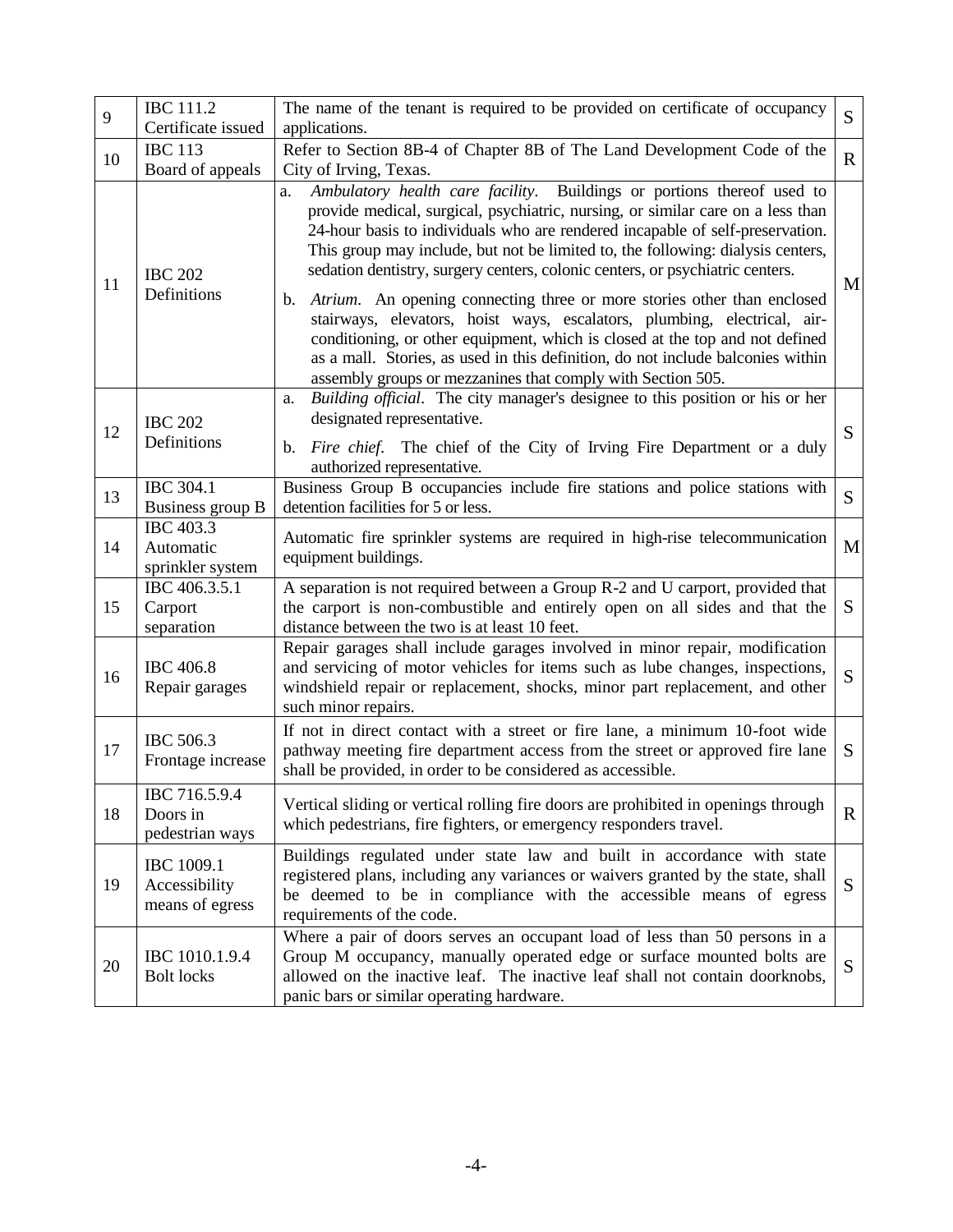| 9  | <b>IBC 111.2</b><br>Certificate issued                | The name of the tenant is required to be provided on certificate of occupancy<br>S<br>applications.                                                                                                                                                                                                                                                                                                                                                                                                                                                                                                                                                                                                                                                                                                                 |             |
|----|-------------------------------------------------------|---------------------------------------------------------------------------------------------------------------------------------------------------------------------------------------------------------------------------------------------------------------------------------------------------------------------------------------------------------------------------------------------------------------------------------------------------------------------------------------------------------------------------------------------------------------------------------------------------------------------------------------------------------------------------------------------------------------------------------------------------------------------------------------------------------------------|-------------|
| 10 | <b>IBC 113</b><br>Board of appeals                    | Refer to Section 8B-4 of Chapter 8B of The Land Development Code of the<br>City of Irving, Texas.                                                                                                                                                                                                                                                                                                                                                                                                                                                                                                                                                                                                                                                                                                                   | $\mathbf R$ |
| 11 | <b>IBC 202</b><br>Definitions                         | Ambulatory health care facility. Buildings or portions thereof used to<br>a.<br>provide medical, surgical, psychiatric, nursing, or similar care on a less than<br>24-hour basis to individuals who are rendered incapable of self-preservation.<br>This group may include, but not be limited to, the following: dialysis centers,<br>sedation dentistry, surgery centers, colonic centers, or psychiatric centers.<br>Atrium. An opening connecting three or more stories other than enclosed<br>b.<br>stairways, elevators, hoist ways, escalators, plumbing, electrical, air-<br>conditioning, or other equipment, which is closed at the top and not defined<br>as a mall. Stories, as used in this definition, do not include balconies within<br>assembly groups or mezzanines that comply with Section 505. | M           |
| 12 | <b>IBC 202</b><br>Definitions                         | Building official. The city manager's designee to this position or his or her<br>a.<br>designated representative.<br>S<br>Fire chief. The chief of the City of Irving Fire Department or a duly<br>b.<br>authorized representative.                                                                                                                                                                                                                                                                                                                                                                                                                                                                                                                                                                                 |             |
| 13 | IBC 304.1<br>Business group B                         | Business Group B occupancies include fire stations and police stations with<br>S<br>detention facilities for 5 or less.                                                                                                                                                                                                                                                                                                                                                                                                                                                                                                                                                                                                                                                                                             |             |
| 14 | IBC 403.3<br>Automatic<br>sprinkler system            | Automatic fire sprinkler systems are required in high-rise telecommunication<br>equipment buildings.                                                                                                                                                                                                                                                                                                                                                                                                                                                                                                                                                                                                                                                                                                                |             |
| 15 | IBC 406.3.5.1<br>Carport<br>separation                | A separation is not required between a Group R-2 and U carport, provided that<br>the carport is non-combustible and entirely open on all sides and that the<br>distance between the two is at least 10 feet.                                                                                                                                                                                                                                                                                                                                                                                                                                                                                                                                                                                                        |             |
| 16 | <b>IBC</b> 406.8<br>Repair garages                    | Repair garages shall include garages involved in minor repair, modification<br>and servicing of motor vehicles for items such as lube changes, inspections,<br>windshield repair or replacement, shocks, minor part replacement, and other<br>such minor repairs.                                                                                                                                                                                                                                                                                                                                                                                                                                                                                                                                                   | S           |
| 17 | IBC 506.3<br>Frontage increase                        | If not in direct contact with a street or fire lane, a minimum 10-foot wide<br>pathway meeting fire department access from the street or approved fire lane<br>shall be provided, in order to be considered as accessible.                                                                                                                                                                                                                                                                                                                                                                                                                                                                                                                                                                                          | S           |
| 18 | IBC 716.5.9.4<br>Doors in<br>pedestrian ways          | Vertical sliding or vertical rolling fire doors are prohibited in openings through<br>which pedestrians, fire fighters, or emergency responders travel.                                                                                                                                                                                                                                                                                                                                                                                                                                                                                                                                                                                                                                                             |             |
| 19 | <b>IBC</b> 1009.1<br>Accessibility<br>means of egress | Buildings regulated under state law and built in accordance with state<br>registered plans, including any variances or waivers granted by the state, shall<br>be deemed to be in compliance with the accessible means of egress<br>requirements of the code.                                                                                                                                                                                                                                                                                                                                                                                                                                                                                                                                                        |             |
| 20 | IBC 1010.1.9.4<br><b>Bolt locks</b>                   | Where a pair of doors serves an occupant load of less than 50 persons in a<br>Group M occupancy, manually operated edge or surface mounted bolts are<br>allowed on the inactive leaf. The inactive leaf shall not contain doorknobs,<br>panic bars or similar operating hardware.                                                                                                                                                                                                                                                                                                                                                                                                                                                                                                                                   | S           |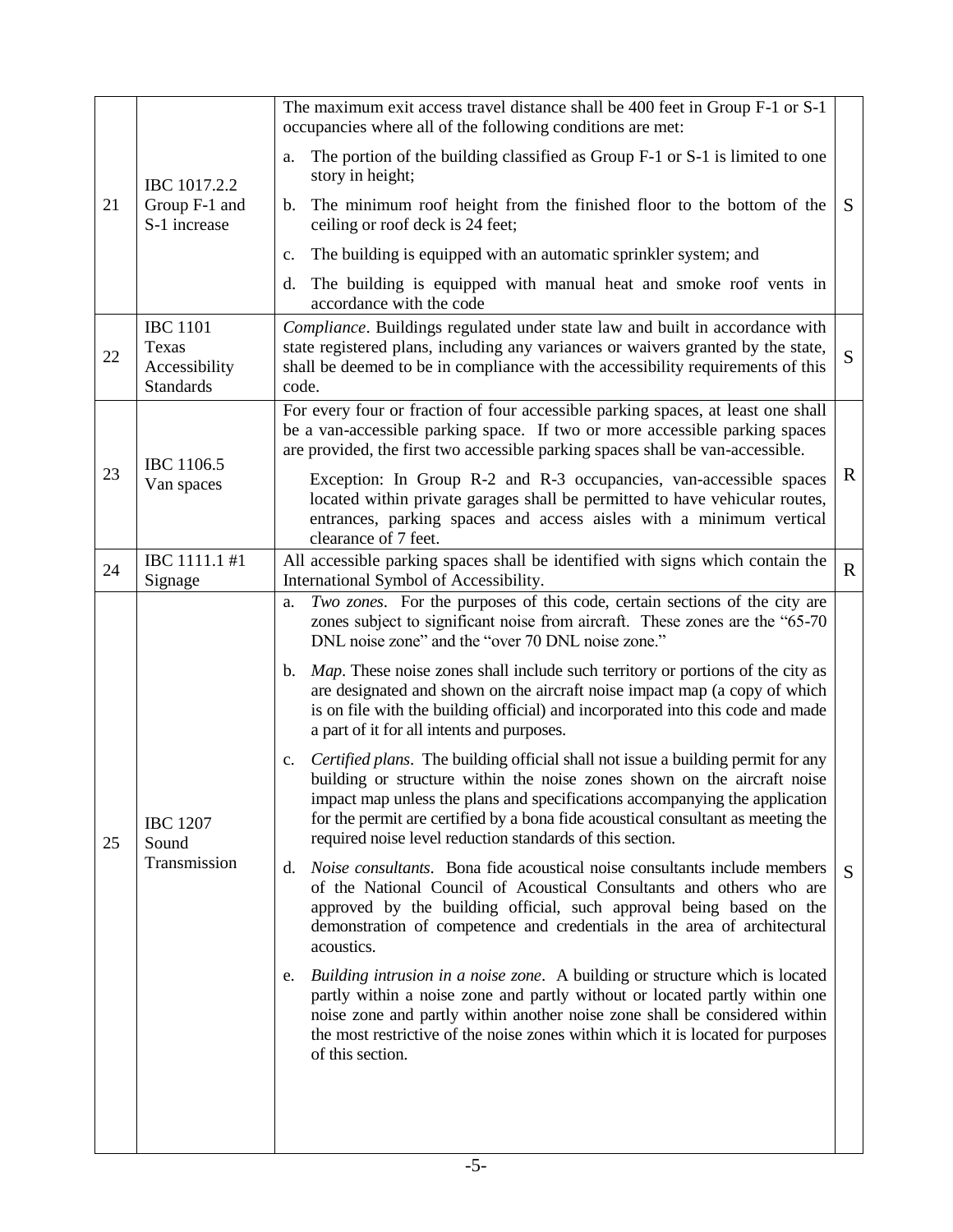|  |    | IBC 1017.2.2<br>Group F-1 and<br>S-1 increase                                                                                                                                                                                                                                                                                                         | The maximum exit access travel distance shall be 400 feet in Group F-1 or S-1<br>occupancies where all of the following conditions are met:                                                                                                                                                                                                                                                                 |              |  |  |
|--|----|-------------------------------------------------------------------------------------------------------------------------------------------------------------------------------------------------------------------------------------------------------------------------------------------------------------------------------------------------------|-------------------------------------------------------------------------------------------------------------------------------------------------------------------------------------------------------------------------------------------------------------------------------------------------------------------------------------------------------------------------------------------------------------|--------------|--|--|
|  |    |                                                                                                                                                                                                                                                                                                                                                       | The portion of the building classified as Group F-1 or S-1 is limited to one<br>a.<br>story in height;                                                                                                                                                                                                                                                                                                      |              |  |  |
|  | 21 |                                                                                                                                                                                                                                                                                                                                                       | b. The minimum roof height from the finished floor to the bottom of the<br>ceiling or roof deck is 24 feet;                                                                                                                                                                                                                                                                                                 | S            |  |  |
|  |    |                                                                                                                                                                                                                                                                                                                                                       | The building is equipped with an automatic sprinkler system; and<br>$\mathbf{c}$ .                                                                                                                                                                                                                                                                                                                          |              |  |  |
|  |    |                                                                                                                                                                                                                                                                                                                                                       | The building is equipped with manual heat and smoke roof vents in<br>d.<br>accordance with the code                                                                                                                                                                                                                                                                                                         |              |  |  |
|  | 22 | <b>IBC 1101</b><br>Texas<br>Accessibility<br><b>Standards</b>                                                                                                                                                                                                                                                                                         | Compliance. Buildings regulated under state law and built in accordance with<br>state registered plans, including any variances or waivers granted by the state,<br>shall be deemed to be in compliance with the accessibility requirements of this<br>code.                                                                                                                                                |              |  |  |
|  | 23 | IBC 1106.5                                                                                                                                                                                                                                                                                                                                            | For every four or fraction of four accessible parking spaces, at least one shall<br>be a van-accessible parking space. If two or more accessible parking spaces<br>are provided, the first two accessible parking spaces shall be van-accessible.                                                                                                                                                           | $\mathbf R$  |  |  |
|  |    | Van spaces                                                                                                                                                                                                                                                                                                                                            | Exception: In Group R-2 and R-3 occupancies, van-accessible spaces<br>located within private garages shall be permitted to have vehicular routes,<br>entrances, parking spaces and access aisles with a minimum vertical<br>clearance of 7 feet.                                                                                                                                                            |              |  |  |
|  | 24 | IBC 1111.1 #1<br>Signage                                                                                                                                                                                                                                                                                                                              | All accessible parking spaces shall be identified with signs which contain the<br>International Symbol of Accessibility.                                                                                                                                                                                                                                                                                    | $\mathbf{R}$ |  |  |
|  |    | <b>IBC 1207</b><br>Sound<br>Transmission                                                                                                                                                                                                                                                                                                              | Two zones. For the purposes of this code, certain sections of the city are<br>a.<br>zones subject to significant noise from aircraft. These zones are the "65-70<br>DNL noise zone" and the "over 70 DNL noise zone."                                                                                                                                                                                       |              |  |  |
|  |    |                                                                                                                                                                                                                                                                                                                                                       | Map. These noise zones shall include such territory or portions of the city as<br>b.<br>are designated and shown on the aircraft noise impact map (a copy of which<br>is on file with the building official) and incorporated into this code and made<br>a part of it for all intents and purposes.                                                                                                         |              |  |  |
|  | 25 |                                                                                                                                                                                                                                                                                                                                                       | Certified plans. The building official shall not issue a building permit for any<br>$c_{\cdot}$<br>building or structure within the noise zones shown on the aircraft noise<br>impact map unless the plans and specifications accompanying the application<br>for the permit are certified by a bona fide acoustical consultant as meeting the<br>required noise level reduction standards of this section. |              |  |  |
|  |    |                                                                                                                                                                                                                                                                                                                                                       | <i>Noise consultants.</i> Bona fide acoustical noise consultants include members<br>d.<br>of the National Council of Acoustical Consultants and others who are<br>approved by the building official, such approval being based on the<br>demonstration of competence and credentials in the area of architectural<br>acoustics.                                                                             | S            |  |  |
|  |    | Building intrusion in a noise zone. A building or structure which is located<br>e.<br>partly within a noise zone and partly without or located partly within one<br>noise zone and partly within another noise zone shall be considered within<br>the most restrictive of the noise zones within which it is located for purposes<br>of this section. |                                                                                                                                                                                                                                                                                                                                                                                                             |              |  |  |
|  |    |                                                                                                                                                                                                                                                                                                                                                       |                                                                                                                                                                                                                                                                                                                                                                                                             |              |  |  |
|  |    |                                                                                                                                                                                                                                                                                                                                                       |                                                                                                                                                                                                                                                                                                                                                                                                             |              |  |  |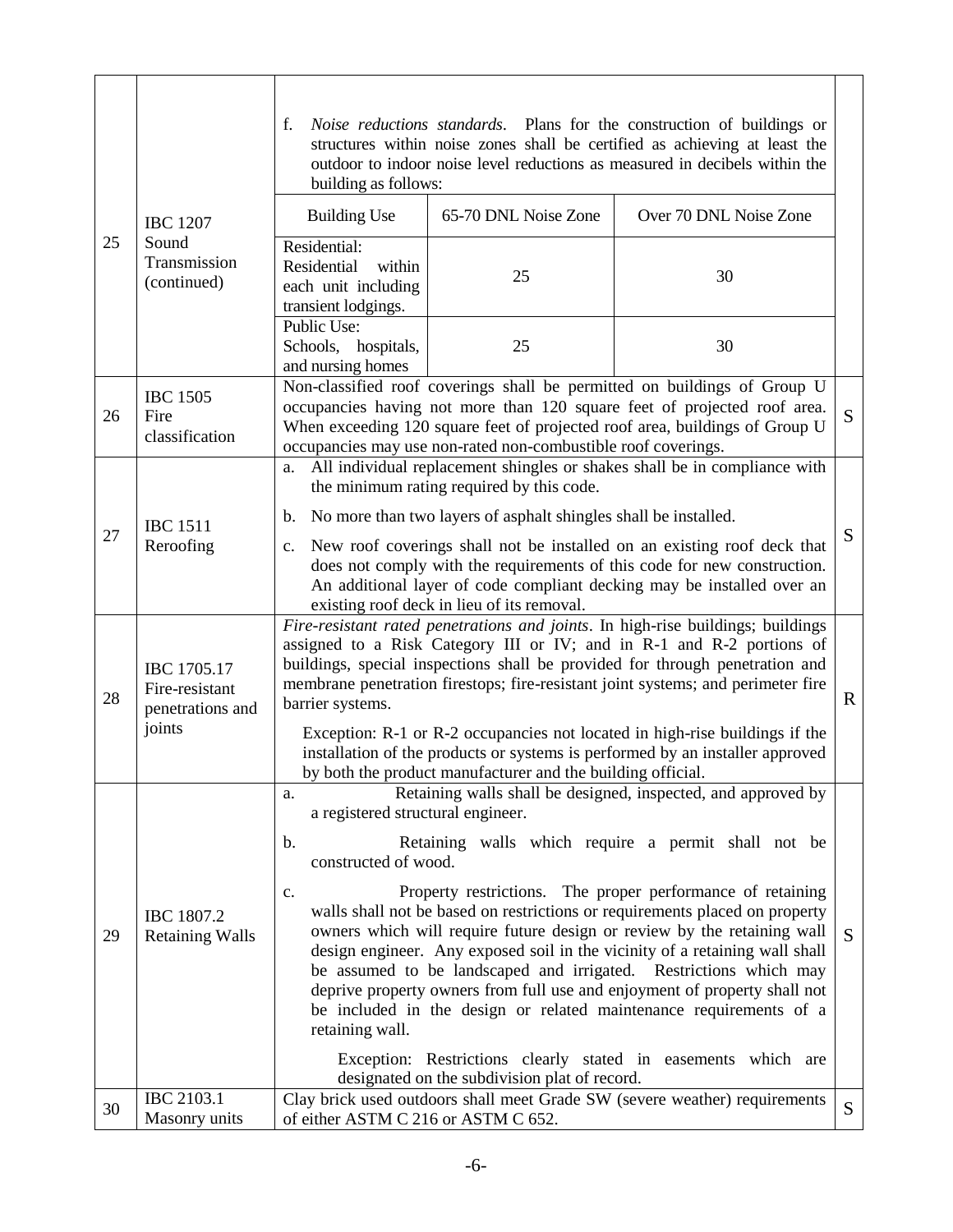|    |                                                                                                                                                                                                                                                          | f.<br>Noise reductions standards. Plans for the construction of buildings or<br>structures within noise zones shall be certified as achieving at least the<br>outdoor to indoor noise level reductions as measured in decibels within the<br>building as follows:                                                                                                                                                               |                                                               |                                                                                                                                                                                                                                                                                                                                                                                                                                                                                                                                                                                    |              |
|----|----------------------------------------------------------------------------------------------------------------------------------------------------------------------------------------------------------------------------------------------------------|---------------------------------------------------------------------------------------------------------------------------------------------------------------------------------------------------------------------------------------------------------------------------------------------------------------------------------------------------------------------------------------------------------------------------------|---------------------------------------------------------------|------------------------------------------------------------------------------------------------------------------------------------------------------------------------------------------------------------------------------------------------------------------------------------------------------------------------------------------------------------------------------------------------------------------------------------------------------------------------------------------------------------------------------------------------------------------------------------|--------------|
|    | <b>IBC 1207</b>                                                                                                                                                                                                                                          | <b>Building Use</b>                                                                                                                                                                                                                                                                                                                                                                                                             | 65-70 DNL Noise Zone                                          | Over 70 DNL Noise Zone                                                                                                                                                                                                                                                                                                                                                                                                                                                                                                                                                             |              |
| 25 | Sound<br>Transmission<br>(continued)                                                                                                                                                                                                                     | Residential:<br>within<br>Residential<br>each unit including<br>transient lodgings.                                                                                                                                                                                                                                                                                                                                             | 25                                                            | 30                                                                                                                                                                                                                                                                                                                                                                                                                                                                                                                                                                                 |              |
|    |                                                                                                                                                                                                                                                          | Public Use:<br>Schools, hospitals,<br>and nursing homes                                                                                                                                                                                                                                                                                                                                                                         | 25                                                            | 30                                                                                                                                                                                                                                                                                                                                                                                                                                                                                                                                                                                 |              |
| 26 | <b>IBC 1505</b><br>Fire<br>classification                                                                                                                                                                                                                |                                                                                                                                                                                                                                                                                                                                                                                                                                 | occupancies may use non-rated non-combustible roof coverings. | Non-classified roof coverings shall be permitted on buildings of Group U<br>occupancies having not more than 120 square feet of projected roof area.<br>When exceeding 120 square feet of projected roof area, buildings of Group U                                                                                                                                                                                                                                                                                                                                                | S            |
|    |                                                                                                                                                                                                                                                          | a.                                                                                                                                                                                                                                                                                                                                                                                                                              | the minimum rating required by this code.                     | All individual replacement shingles or shakes shall be in compliance with                                                                                                                                                                                                                                                                                                                                                                                                                                                                                                          |              |
| 27 | <b>IBC 1511</b><br>Reroofing                                                                                                                                                                                                                             | No more than two layers of asphalt shingles shall be installed.<br>b.<br>c. New roof coverings shall not be installed on an existing roof deck that<br>does not comply with the requirements of this code for new construction.<br>An additional layer of code compliant decking may be installed over an<br>existing roof deck in lieu of its removal.                                                                         |                                                               |                                                                                                                                                                                                                                                                                                                                                                                                                                                                                                                                                                                    | S            |
| 28 | IBC 1705.17<br>Fire-resistant<br>penetrations and<br>joints                                                                                                                                                                                              | Fire-resistant rated penetrations and joints. In high-rise buildings; buildings<br>assigned to a Risk Category III or IV; and in R-1 and R-2 portions of<br>buildings, special inspections shall be provided for through penetration and<br>membrane penetration firestops; fire-resistant joint systems; and perimeter fire<br>barrier systems.<br>Exception: R-1 or R-2 occupancies not located in high-rise buildings if the |                                                               |                                                                                                                                                                                                                                                                                                                                                                                                                                                                                                                                                                                    | $\mathbf R$  |
|    | installation of the products or systems is performed by an installer approved<br>by both the product manufacturer and the building official.<br>Retaining walls shall be designed, inspected, and approved by<br>a.<br>a registered structural engineer. |                                                                                                                                                                                                                                                                                                                                                                                                                                 |                                                               |                                                                                                                                                                                                                                                                                                                                                                                                                                                                                                                                                                                    |              |
| 29 | IBC 1807.2<br><b>Retaining Walls</b>                                                                                                                                                                                                                     | b.<br>constructed of wood.<br>$\mathbf{c}$ .<br>retaining wall.                                                                                                                                                                                                                                                                                                                                                                 |                                                               | Retaining walls which require a permit shall not be<br>Property restrictions. The proper performance of retaining<br>walls shall not be based on restrictions or requirements placed on property<br>owners which will require future design or review by the retaining wall<br>design engineer. Any exposed soil in the vicinity of a retaining wall shall<br>be assumed to be landscaped and irrigated. Restrictions which may<br>deprive property owners from full use and enjoyment of property shall not<br>be included in the design or related maintenance requirements of a | <sub>S</sub> |
|    |                                                                                                                                                                                                                                                          |                                                                                                                                                                                                                                                                                                                                                                                                                                 | designated on the subdivision plat of record.                 | Exception: Restrictions clearly stated in easements which are                                                                                                                                                                                                                                                                                                                                                                                                                                                                                                                      |              |
| 30 | IBC 2103.1<br>Masonry units                                                                                                                                                                                                                              | of either ASTM C 216 or ASTM C 652.                                                                                                                                                                                                                                                                                                                                                                                             |                                                               | Clay brick used outdoors shall meet Grade SW (severe weather) requirements                                                                                                                                                                                                                                                                                                                                                                                                                                                                                                         | S            |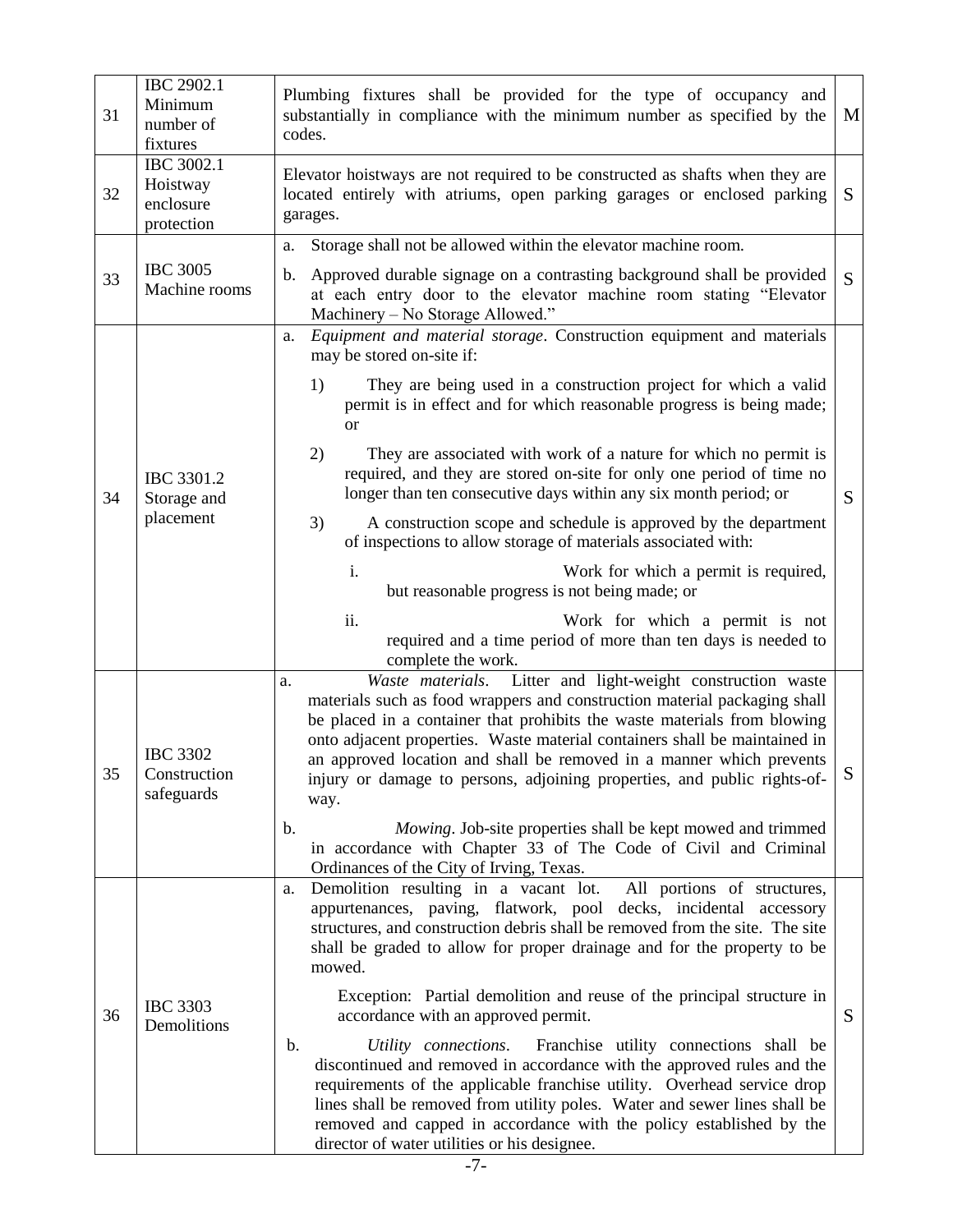| 31 | IBC 2902.1<br>Minimum<br>number of<br>fixtures    | Plumbing fixtures shall be provided for the type of occupancy and<br>substantially in compliance with the minimum number as specified by the<br>M<br>codes.                                                                                                                                                                                                                                                                                                                                                                                                                                                                                                                                                                                                                                                                                                              |   |  |
|----|---------------------------------------------------|--------------------------------------------------------------------------------------------------------------------------------------------------------------------------------------------------------------------------------------------------------------------------------------------------------------------------------------------------------------------------------------------------------------------------------------------------------------------------------------------------------------------------------------------------------------------------------------------------------------------------------------------------------------------------------------------------------------------------------------------------------------------------------------------------------------------------------------------------------------------------|---|--|
| 32 | IBC 3002.1<br>Hoistway<br>enclosure<br>protection | Elevator hoistways are not required to be constructed as shafts when they are<br>located entirely with atriums, open parking garages or enclosed parking<br>S<br>garages.                                                                                                                                                                                                                                                                                                                                                                                                                                                                                                                                                                                                                                                                                                |   |  |
| 33 | <b>IBC 3005</b><br>Machine rooms                  | Storage shall not be allowed within the elevator machine room.<br>a.<br>Approved durable signage on a contrasting background shall be provided<br>b.<br>at each entry door to the elevator machine room stating "Elevator<br>Machinery - No Storage Allowed."                                                                                                                                                                                                                                                                                                                                                                                                                                                                                                                                                                                                            | S |  |
| 34 | IBC 3301.2<br>Storage and<br>placement            | Equipment and material storage. Construction equipment and materials<br>a.<br>may be stored on-site if:<br>They are being used in a construction project for which a valid<br>1)<br>permit is in effect and for which reasonable progress is being made;<br><b>or</b><br>2)<br>They are associated with work of a nature for which no permit is<br>required, and they are stored on-site for only one period of time no<br>longer than ten consecutive days within any six month period; or<br>3)<br>A construction scope and schedule is approved by the department<br>of inspections to allow storage of materials associated with:<br>Work for which a permit is required,<br>i.<br>but reasonable progress is not being made; or<br>ii.<br>Work for which a permit is not<br>required and a time period of more than ten days is needed to<br>complete the work.     |   |  |
| 35 | <b>IBC 3302</b><br>Construction<br>safeguards     | Litter and light-weight construction waste<br>Waste materials.<br>a.<br>materials such as food wrappers and construction material packaging shall<br>be placed in a container that prohibits the waste materials from blowing<br>onto adjacent properties. Waste material containers shall be maintained in<br>an approved location and shall be removed in a manner which prevents<br>injury or damage to persons, adjoining properties, and public rights-of-<br>way.<br>Mowing. Job-site properties shall be kept mowed and trimmed<br>$\mathbf{b}$ .<br>in accordance with Chapter 33 of The Code of Civil and Criminal<br>Ordinances of the City of Irving, Texas.                                                                                                                                                                                                  | S |  |
| 36 | <b>IBC 3303</b><br>Demolitions                    | Demolition resulting in a vacant lot.<br>All portions of structures,<br>a.<br>appurtenances, paving, flatwork, pool decks, incidental<br>accessory<br>structures, and construction debris shall be removed from the site. The site<br>shall be graded to allow for proper drainage and for the property to be<br>mowed.<br>Exception: Partial demolition and reuse of the principal structure in<br>accordance with an approved permit.<br>Franchise utility connections shall be<br>b.<br>Utility connections.<br>discontinued and removed in accordance with the approved rules and the<br>requirements of the applicable franchise utility. Overhead service drop<br>lines shall be removed from utility poles. Water and sewer lines shall be<br>removed and capped in accordance with the policy established by the<br>director of water utilities or his designee. | S |  |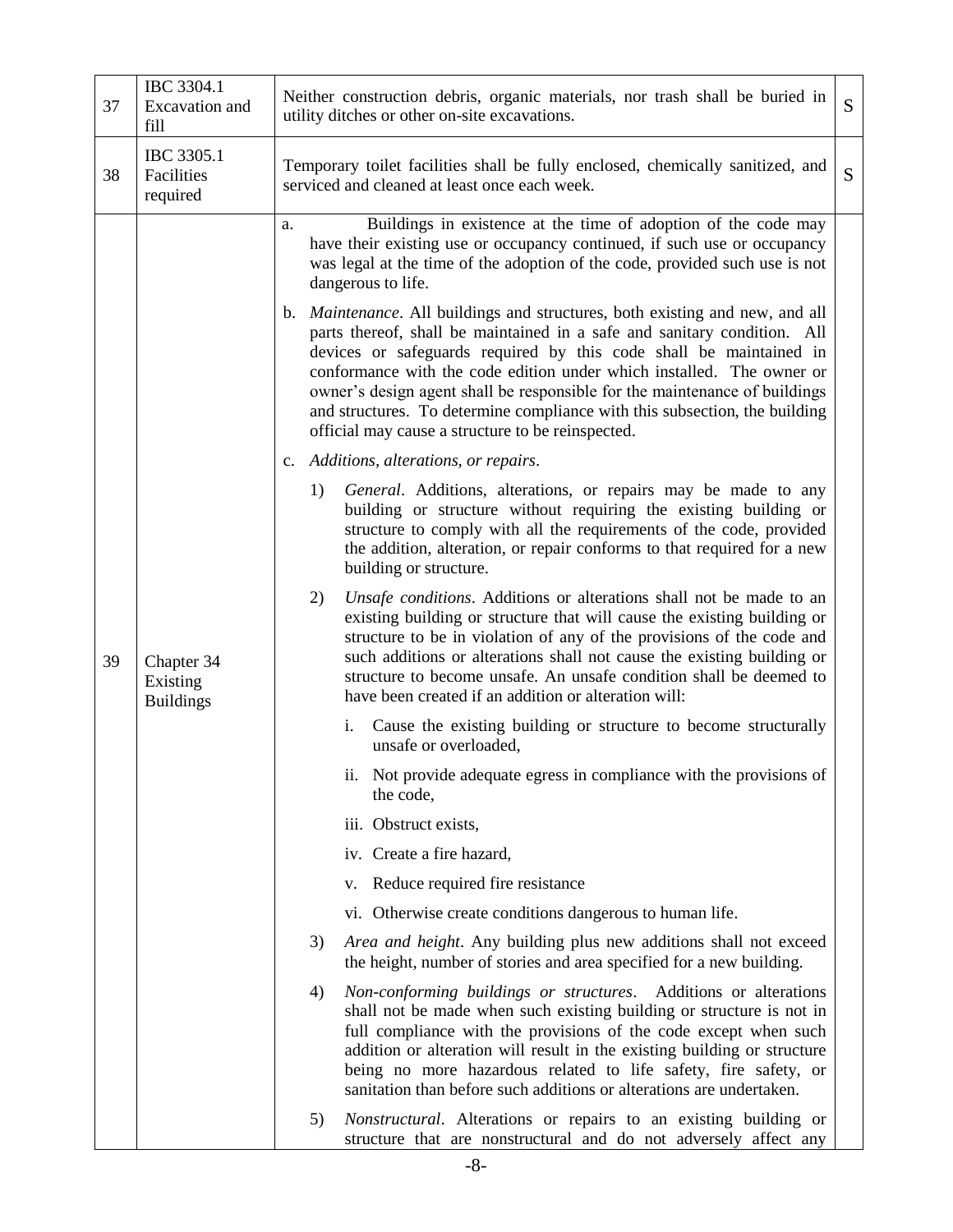| 37 | IBC 3304.1<br>Excavation and<br>fill       | Neither construction debris, organic materials, nor trash shall be buried in<br>S<br>utility ditches or other on-site excavations.                                                                                                                                                                                                                                                                                                                                                                                                                                                                                                                                                                                                                                                                                                                                                                                                                                                                                                                                                                                                                                                                                                                                                                                                                                                                                                                                                                                                                                                                                                                                                                                                                                                                                                                  |  |  |  |
|----|--------------------------------------------|-----------------------------------------------------------------------------------------------------------------------------------------------------------------------------------------------------------------------------------------------------------------------------------------------------------------------------------------------------------------------------------------------------------------------------------------------------------------------------------------------------------------------------------------------------------------------------------------------------------------------------------------------------------------------------------------------------------------------------------------------------------------------------------------------------------------------------------------------------------------------------------------------------------------------------------------------------------------------------------------------------------------------------------------------------------------------------------------------------------------------------------------------------------------------------------------------------------------------------------------------------------------------------------------------------------------------------------------------------------------------------------------------------------------------------------------------------------------------------------------------------------------------------------------------------------------------------------------------------------------------------------------------------------------------------------------------------------------------------------------------------------------------------------------------------------------------------------------------------|--|--|--|
| 38 | IBC 3305.1<br>Facilities<br>required       | Temporary toilet facilities shall be fully enclosed, chemically sanitized, and<br>serviced and cleaned at least once each week.                                                                                                                                                                                                                                                                                                                                                                                                                                                                                                                                                                                                                                                                                                                                                                                                                                                                                                                                                                                                                                                                                                                                                                                                                                                                                                                                                                                                                                                                                                                                                                                                                                                                                                                     |  |  |  |
| 39 | Chapter 34<br>Existing<br><b>Buildings</b> | S<br>Buildings in existence at the time of adoption of the code may<br>a.<br>have their existing use or occupancy continued, if such use or occupancy<br>was legal at the time of the adoption of the code, provided such use is not<br>dangerous to life.<br>b. <i>Maintenance</i> . All buildings and structures, both existing and new, and all<br>parts thereof, shall be maintained in a safe and sanitary condition. All<br>devices or safeguards required by this code shall be maintained in<br>conformance with the code edition under which installed. The owner or<br>owner's design agent shall be responsible for the maintenance of buildings<br>and structures. To determine compliance with this subsection, the building<br>official may cause a structure to be reinspected.<br>c. Additions, alterations, or repairs.<br>1)<br>General. Additions, alterations, or repairs may be made to any<br>building or structure without requiring the existing building or<br>structure to comply with all the requirements of the code, provided<br>the addition, alteration, or repair conforms to that required for a new<br>building or structure.<br>2)<br>Unsafe conditions. Additions or alterations shall not be made to an<br>existing building or structure that will cause the existing building or<br>structure to be in violation of any of the provisions of the code and<br>such additions or alterations shall not cause the existing building or<br>structure to become unsafe. An unsafe condition shall be deemed to<br>have been created if an addition or alteration will:<br>i. Cause the existing building or structure to become structurally<br>unsafe or overloaded,<br>ii. Not provide adequate egress in compliance with the provisions of<br>the code,<br>iii. Obstruct exists,<br>iv. Create a fire hazard, |  |  |  |
|    |                                            | v. Reduce required fire resistance                                                                                                                                                                                                                                                                                                                                                                                                                                                                                                                                                                                                                                                                                                                                                                                                                                                                                                                                                                                                                                                                                                                                                                                                                                                                                                                                                                                                                                                                                                                                                                                                                                                                                                                                                                                                                  |  |  |  |
|    |                                            | vi. Otherwise create conditions dangerous to human life.                                                                                                                                                                                                                                                                                                                                                                                                                                                                                                                                                                                                                                                                                                                                                                                                                                                                                                                                                                                                                                                                                                                                                                                                                                                                                                                                                                                                                                                                                                                                                                                                                                                                                                                                                                                            |  |  |  |
|    |                                            | Area and height. Any building plus new additions shall not exceed<br>3)<br>the height, number of stories and area specified for a new building.                                                                                                                                                                                                                                                                                                                                                                                                                                                                                                                                                                                                                                                                                                                                                                                                                                                                                                                                                                                                                                                                                                                                                                                                                                                                                                                                                                                                                                                                                                                                                                                                                                                                                                     |  |  |  |
|    |                                            | Non-conforming buildings or structures. Additions or alterations<br>4)<br>shall not be made when such existing building or structure is not in<br>full compliance with the provisions of the code except when such<br>addition or alteration will result in the existing building or structure<br>being no more hazardous related to life safety, fire safety, or<br>sanitation than before such additions or alterations are undertaken.                                                                                                                                                                                                                                                                                                                                                                                                                                                                                                                                                                                                                                                                                                                                                                                                                                                                                                                                                                                                                                                                                                                                                                                                                                                                                                                                                                                                           |  |  |  |
|    |                                            | 5)<br><i>Nonstructural.</i> Alterations or repairs to an existing building or<br>structure that are nonstructural and do not adversely affect any                                                                                                                                                                                                                                                                                                                                                                                                                                                                                                                                                                                                                                                                                                                                                                                                                                                                                                                                                                                                                                                                                                                                                                                                                                                                                                                                                                                                                                                                                                                                                                                                                                                                                                   |  |  |  |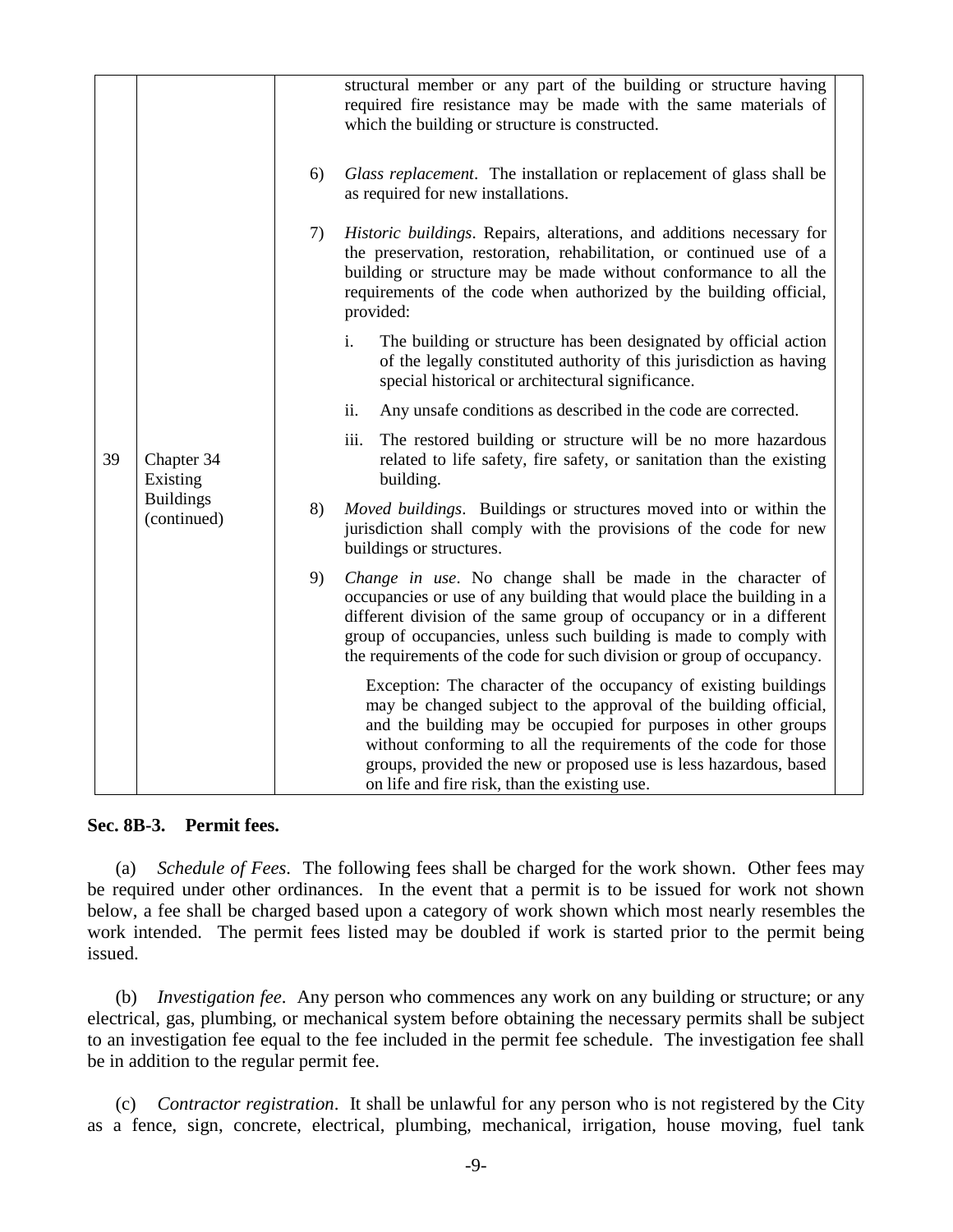|    |                                                           |    | structural member or any part of the building or structure having<br>required fire resistance may be made with the same materials of<br>which the building or structure is constructed.                                                                                                                                                                                                        |
|----|-----------------------------------------------------------|----|------------------------------------------------------------------------------------------------------------------------------------------------------------------------------------------------------------------------------------------------------------------------------------------------------------------------------------------------------------------------------------------------|
|    |                                                           | 6) | Glass replacement. The installation or replacement of glass shall be<br>as required for new installations.                                                                                                                                                                                                                                                                                     |
|    | Chapter 34<br>Existing<br><b>Buildings</b><br>(continued) | 7) | Historic buildings. Repairs, alterations, and additions necessary for<br>the preservation, restoration, rehabilitation, or continued use of a<br>building or structure may be made without conformance to all the<br>requirements of the code when authorized by the building official,<br>provided:                                                                                           |
|    |                                                           |    | i.<br>The building or structure has been designated by official action<br>of the legally constituted authority of this jurisdiction as having<br>special historical or architectural significance.                                                                                                                                                                                             |
|    |                                                           |    | ii.<br>Any unsafe conditions as described in the code are corrected.                                                                                                                                                                                                                                                                                                                           |
| 39 |                                                           |    | iii.<br>The restored building or structure will be no more hazardous<br>related to life safety, fire safety, or sanitation than the existing<br>building.                                                                                                                                                                                                                                      |
|    |                                                           | 8) | <i>Moved buildings.</i> Buildings or structures moved into or within the<br>jurisdiction shall comply with the provisions of the code for new<br>buildings or structures.                                                                                                                                                                                                                      |
|    |                                                           | 9) | Change in use. No change shall be made in the character of<br>occupancies or use of any building that would place the building in a<br>different division of the same group of occupancy or in a different<br>group of occupancies, unless such building is made to comply with<br>the requirements of the code for such division or group of occupancy.                                       |
|    |                                                           |    | Exception: The character of the occupancy of existing buildings<br>may be changed subject to the approval of the building official,<br>and the building may be occupied for purposes in other groups<br>without conforming to all the requirements of the code for those<br>groups, provided the new or proposed use is less hazardous, based<br>on life and fire risk, than the existing use. |

**Sec. 8B-3. Permit fees.**

(a) *Schedule of Fees*. The following fees shall be charged for the work shown. Other fees may be required under other ordinances. In the event that a permit is to be issued for work not shown below, a fee shall be charged based upon a category of work shown which most nearly resembles the work intended. The permit fees listed may be doubled if work is started prior to the permit being issued.

(b) *Investigation fee*. Any person who commences any work on any building or structure; or any electrical, gas, plumbing, or mechanical system before obtaining the necessary permits shall be subject to an investigation fee equal to the fee included in the permit fee schedule. The investigation fee shall be in addition to the regular permit fee.

(c) *Contractor registration*. It shall be unlawful for any person who is not registered by the City as a fence, sign, concrete, electrical, plumbing, mechanical, irrigation, house moving, fuel tank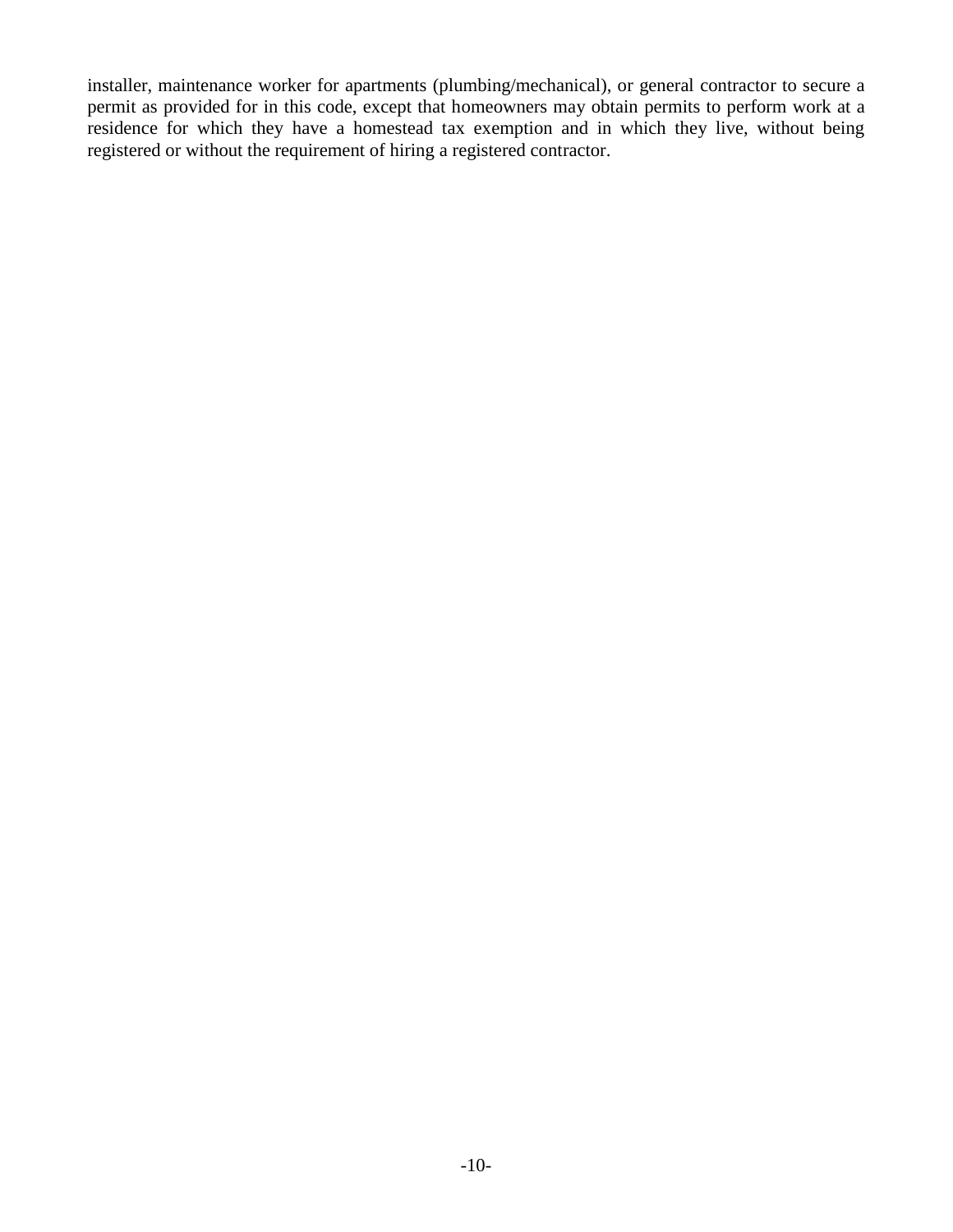installer, maintenance worker for apartments (plumbing/mechanical), or general contractor to secure a permit as provided for in this code, except that homeowners may obtain permits to perform work at a residence for which they have a homestead tax exemption and in which they live, without being registered or without the requirement of hiring a registered contractor.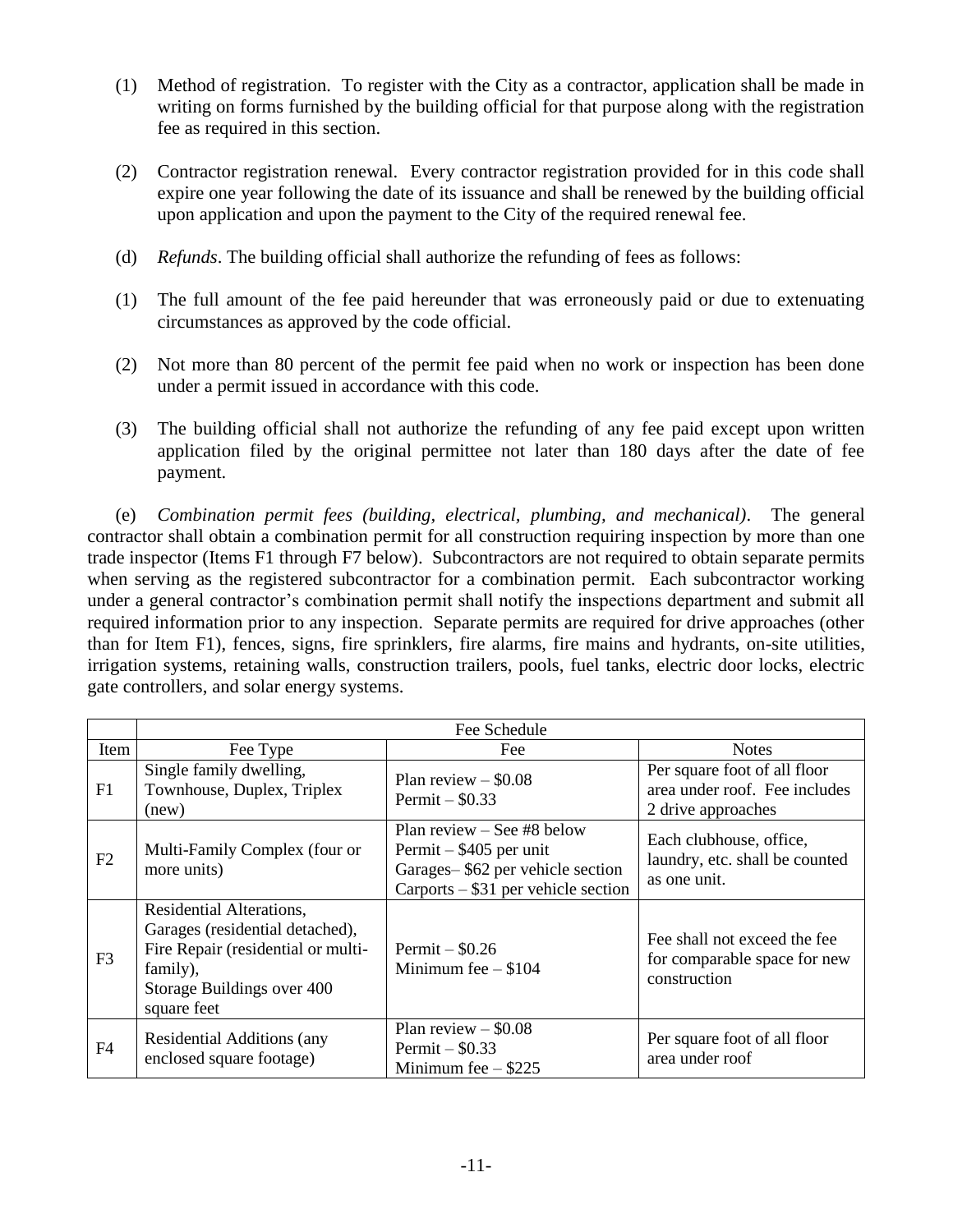- (1) Method of registration. To register with the City as a contractor, application shall be made in writing on forms furnished by the building official for that purpose along with the registration fee as required in this section.
- (2) Contractor registration renewal. Every contractor registration provided for in this code shall expire one year following the date of its issuance and shall be renewed by the building official upon application and upon the payment to the City of the required renewal fee.
- (d) *Refunds*. The building official shall authorize the refunding of fees as follows:
- (1) The full amount of the fee paid hereunder that was erroneously paid or due to extenuating circumstances as approved by the code official.
- (2) Not more than 80 percent of the permit fee paid when no work or inspection has been done under a permit issued in accordance with this code.
- (3) The building official shall not authorize the refunding of any fee paid except upon written application filed by the original permittee not later than 180 days after the date of fee payment.

(e) *Combination permit fees (building, electrical, plumbing, and mechanical)*. The general contractor shall obtain a combination permit for all construction requiring inspection by more than one trade inspector (Items F1 through F7 below). Subcontractors are not required to obtain separate permits when serving as the registered subcontractor for a combination permit. Each subcontractor working under a general contractor's combination permit shall notify the inspections department and submit all required information prior to any inspection. Separate permits are required for drive approaches (other than for Item F1), fences, signs, fire sprinklers, fire alarms, fire mains and hydrants, on-site utilities, irrigation systems, retaining walls, construction trailers, pools, fuel tanks, electric door locks, electric gate controllers, and solar energy systems.

|                | Fee Schedule                                                                                                                                               |                                                                                                                                       |                                                                                     |  |  |
|----------------|------------------------------------------------------------------------------------------------------------------------------------------------------------|---------------------------------------------------------------------------------------------------------------------------------------|-------------------------------------------------------------------------------------|--|--|
| Item           | Fee Type                                                                                                                                                   | Fee                                                                                                                                   | <b>Notes</b>                                                                        |  |  |
| F1             | Single family dwelling,<br>Townhouse, Duplex, Triplex<br>(new)                                                                                             | Plan review $-$ \$0.08<br>Permit $-$ \$0.33                                                                                           | Per square foot of all floor<br>area under roof. Fee includes<br>2 drive approaches |  |  |
| F2             | Multi-Family Complex (four or<br>more units)                                                                                                               | Plan review $-$ See #8 below<br>Permit $-$ \$405 per unit<br>Garages-\$62 per vehicle section<br>$Carports - $31$ per vehicle section | Each clubhouse, office,<br>laundry, etc. shall be counted<br>as one unit.           |  |  |
| F <sub>3</sub> | Residential Alterations,<br>Garages (residential detached),<br>Fire Repair (residential or multi-<br>family),<br>Storage Buildings over 400<br>square feet | Permit $-$ \$0.26<br>Minimum fee $- $104$                                                                                             | Fee shall not exceed the fee<br>for comparable space for new<br>construction        |  |  |
| F4             | Residential Additions (any<br>enclosed square footage)                                                                                                     | Plan review $-$ \$0.08<br>Permit $-$ \$0.33<br>Minimum fee $-$ \$225                                                                  | Per square foot of all floor<br>area under roof                                     |  |  |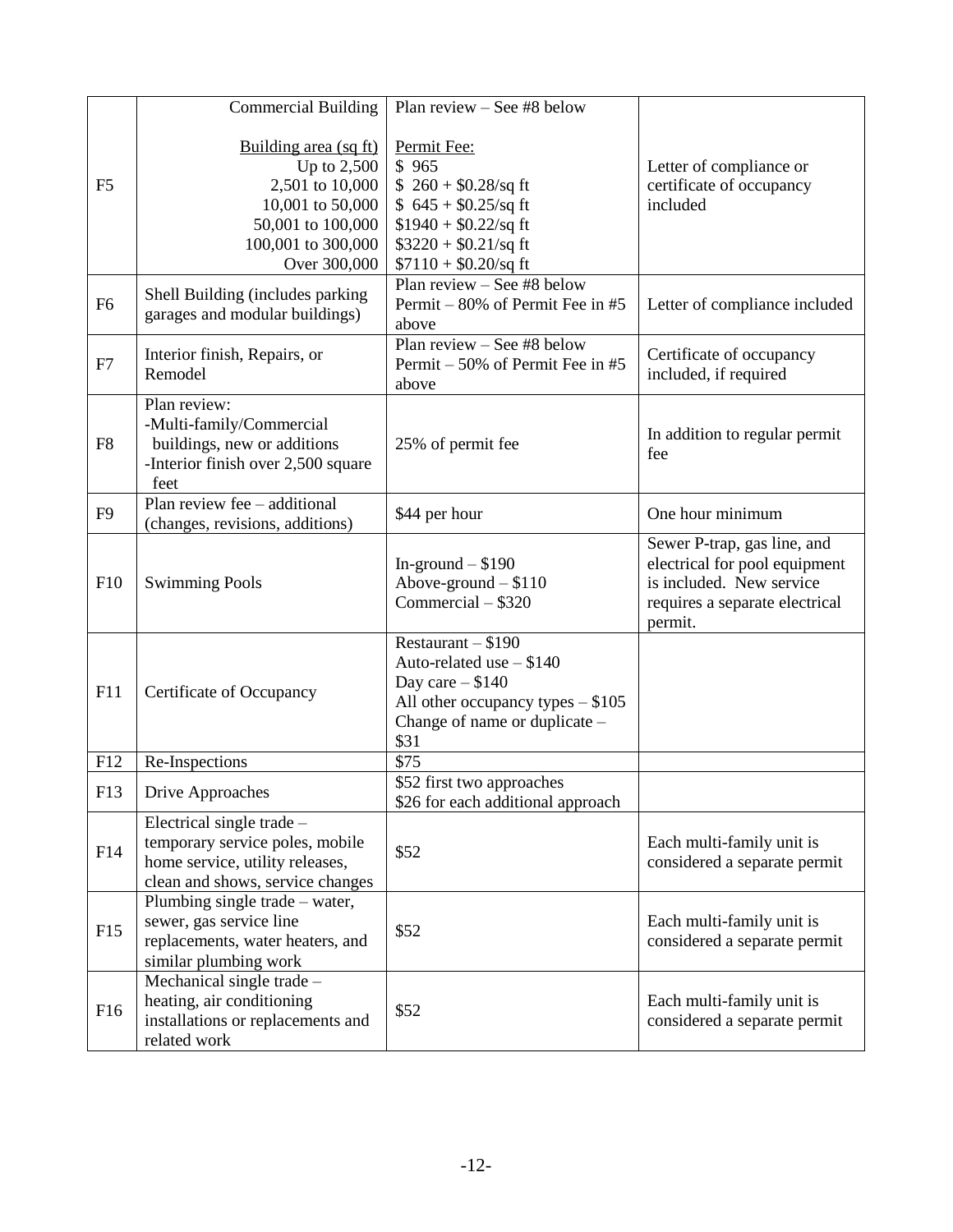|                | <b>Commercial Building</b>                                                                                                               | Plan review $-$ See #8 below                                                                                                                         |                                                                                                                                       |
|----------------|------------------------------------------------------------------------------------------------------------------------------------------|------------------------------------------------------------------------------------------------------------------------------------------------------|---------------------------------------------------------------------------------------------------------------------------------------|
| F <sub>5</sub> | Building area (sq ft)<br>Up to $2,500$<br>2,501 to 10,000<br>10,001 to 50,000<br>50,001 to 100,000<br>100,001 to 300,000<br>Over 300,000 | Permit Fee:<br>\$965<br>$$260 + $0.28$ /sq ft<br>$$645 + $0.25$ /sq ft<br>$$1940 + $0.22$ /sq ft<br>$$3220 + $0.21$ /sq ft<br>$$7110 + $0.20$ /sq ft | Letter of compliance or<br>certificate of occupancy<br>included                                                                       |
| F <sub>6</sub> | Shell Building (includes parking<br>garages and modular buildings)                                                                       | Plan review – See $#8$ below<br>Permit – 80% of Permit Fee in #5<br>above                                                                            | Letter of compliance included                                                                                                         |
| F7             | Interior finish, Repairs, or<br>Remodel                                                                                                  | Plan review $-$ See #8 below<br>Permit – 50% of Permit Fee in #5<br>above                                                                            | Certificate of occupancy<br>included, if required                                                                                     |
| F8             | Plan review:<br>-Multi-family/Commercial<br>buildings, new or additions<br>-Interior finish over 2,500 square<br>feet                    | 25% of permit fee                                                                                                                                    | In addition to regular permit<br>fee                                                                                                  |
| F <sub>9</sub> | Plan review fee – additional<br>(changes, revisions, additions)                                                                          | \$44 per hour                                                                                                                                        | One hour minimum                                                                                                                      |
| F10            | <b>Swimming Pools</b>                                                                                                                    | In-ground $-$ \$190<br>Above-ground $-$ \$110<br>Commercial - \$320                                                                                  | Sewer P-trap, gas line, and<br>electrical for pool equipment<br>is included. New service<br>requires a separate electrical<br>permit. |
| F11            | Certificate of Occupancy                                                                                                                 | Restaurant $- $190$<br>Auto-related use $- $140$<br>Day care $- $140$<br>All other occupancy types $- $105$<br>Change of name or duplicate -<br>\$31 |                                                                                                                                       |
| F12            | Re-Inspections                                                                                                                           | \$75                                                                                                                                                 |                                                                                                                                       |
| F13            | Drive Approaches                                                                                                                         | \$52 first two approaches<br>\$26 for each additional approach                                                                                       |                                                                                                                                       |
| F14            | Electrical single trade $-$<br>temporary service poles, mobile<br>home service, utility releases,<br>clean and shows, service changes    | \$52                                                                                                                                                 | Each multi-family unit is<br>considered a separate permit                                                                             |
| F15            | Plumbing single trade – water,<br>sewer, gas service line<br>replacements, water heaters, and<br>similar plumbing work                   | \$52                                                                                                                                                 | Each multi-family unit is<br>considered a separate permit                                                                             |
| F16            | Mechanical single trade -<br>heating, air conditioning<br>installations or replacements and<br>related work                              | \$52                                                                                                                                                 | Each multi-family unit is<br>considered a separate permit                                                                             |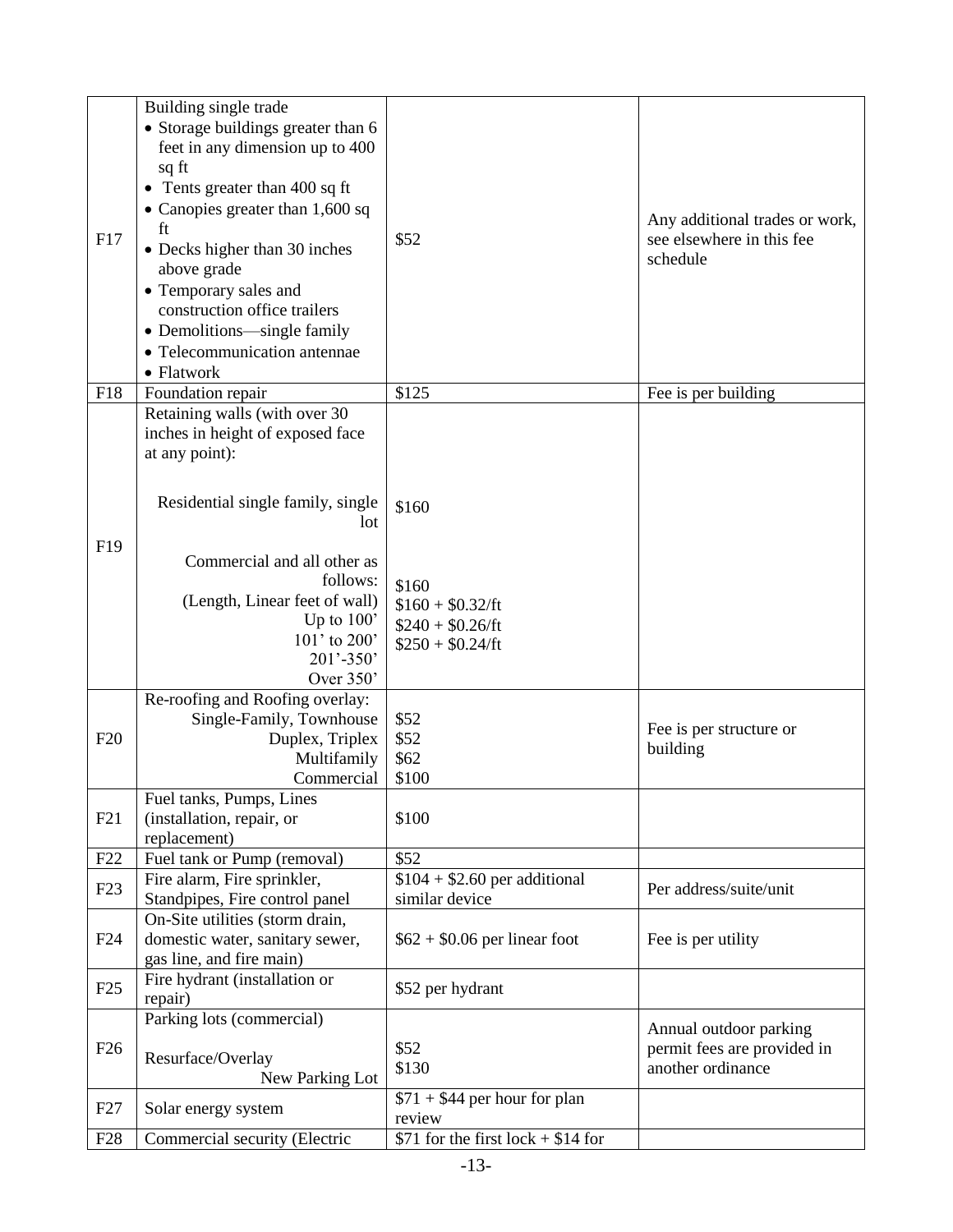| F17             | Building single trade<br>• Storage buildings greater than 6<br>feet in any dimension up to 400<br>sq ft<br>• Tents greater than 400 sq ft<br>• Canopies greater than $1,600$ sq<br>ft<br>• Decks higher than 30 inches<br>above grade<br>• Temporary sales and<br>construction office trailers | \$52                                                                                 | Any additional trades or work,<br>see elsewhere in this fee<br>schedule    |
|-----------------|------------------------------------------------------------------------------------------------------------------------------------------------------------------------------------------------------------------------------------------------------------------------------------------------|--------------------------------------------------------------------------------------|----------------------------------------------------------------------------|
|                 | • Demolitions—single family<br>• Telecommunication antennae<br>$\bullet$ Flatwork                                                                                                                                                                                                              |                                                                                      |                                                                            |
| F18             | Foundation repair                                                                                                                                                                                                                                                                              | \$125                                                                                | Fee is per building                                                        |
| F19             | Retaining walls (with over 30<br>inches in height of exposed face<br>at any point):<br>Residential single family, single<br>lot<br>Commercial and all other as<br>follows:<br>(Length, Linear feet of wall)<br>Up to $100'$<br>101' to 200'<br>$201' - 350'$<br>Over 350'                      | \$160<br>\$160<br>$$160 + $0.32/\text{ft}$<br>$$240 + $0.26/ft$<br>$$250 + $0.24/ft$ |                                                                            |
| F20             | Re-roofing and Roofing overlay:<br>Single-Family, Townhouse<br>Duplex, Triplex<br>Multifamily<br>Commercial                                                                                                                                                                                    | \$52<br>\$52<br>\$62<br>\$100                                                        | Fee is per structure or<br>building                                        |
| F21             | Fuel tanks, Pumps, Lines<br>(installation, repair, or<br>replacement)                                                                                                                                                                                                                          | \$100                                                                                |                                                                            |
| F22             | Fuel tank or Pump (removal)                                                                                                                                                                                                                                                                    | \$52                                                                                 |                                                                            |
| F23             | Fire alarm, Fire sprinkler,<br>Standpipes, Fire control panel                                                                                                                                                                                                                                  | $$104 + $2.60$ per additional<br>similar device                                      | Per address/suite/unit                                                     |
| F24             | On-Site utilities (storm drain,<br>domestic water, sanitary sewer,<br>gas line, and fire main)                                                                                                                                                                                                 | $$62 + $0.06$ per linear foot                                                        | Fee is per utility                                                         |
| F25             | Fire hydrant (installation or<br>repair)                                                                                                                                                                                                                                                       | \$52 per hydrant                                                                     |                                                                            |
| F26             | Parking lots (commercial)<br>Resurface/Overlay<br>New Parking Lot                                                                                                                                                                                                                              | \$52<br>\$130                                                                        | Annual outdoor parking<br>permit fees are provided in<br>another ordinance |
| F27             | Solar energy system                                                                                                                                                                                                                                                                            | $$71 + $44$ per hour for plan<br>review                                              |                                                                            |
| F <sub>28</sub> | Commercial security (Electric                                                                                                                                                                                                                                                                  | \$71 for the first $lock + $14$ for                                                  |                                                                            |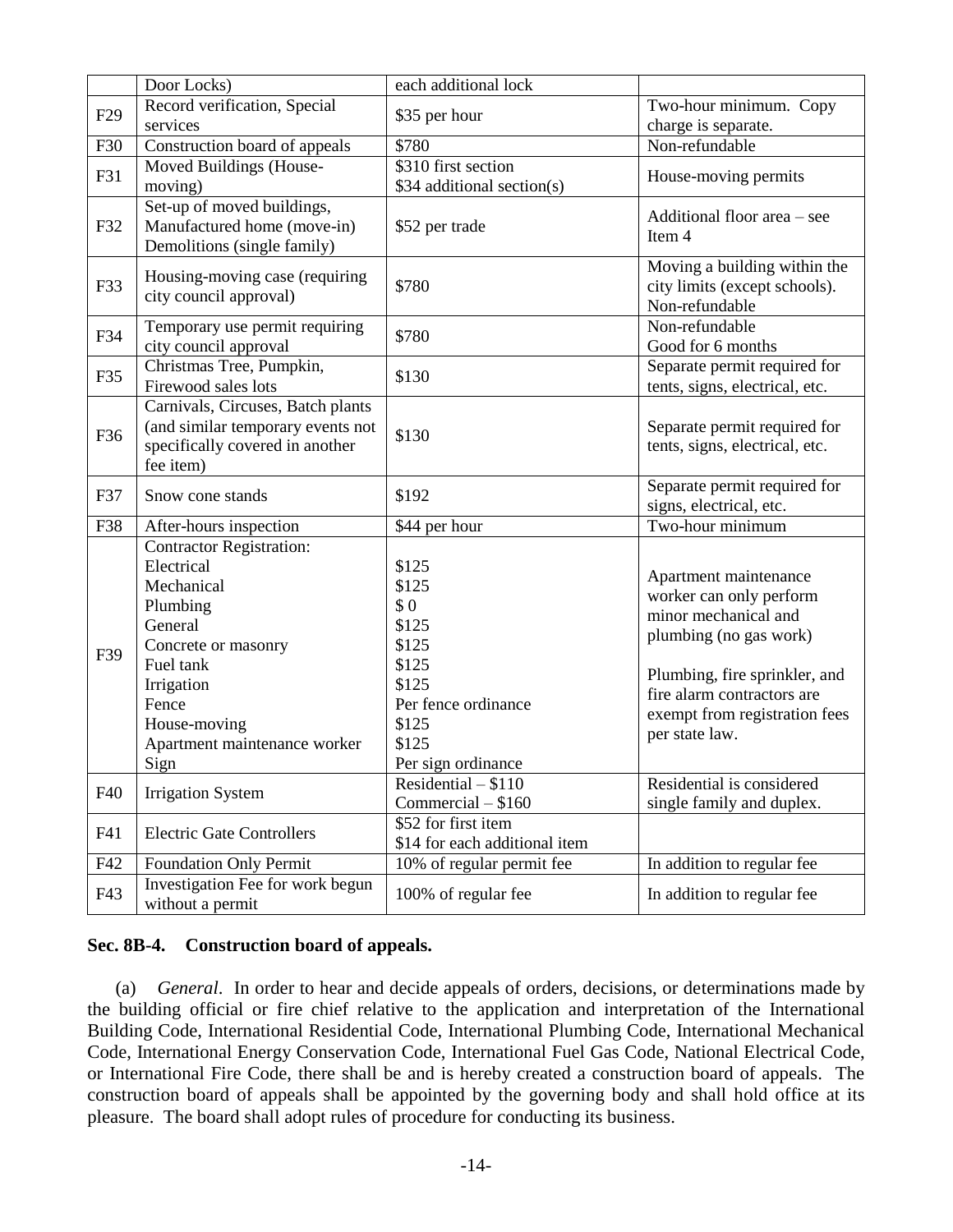|                 | Door Locks)                                                          | each additional lock          |                                                                |
|-----------------|----------------------------------------------------------------------|-------------------------------|----------------------------------------------------------------|
| F <sub>29</sub> | Record verification, Special                                         | \$35 per hour                 | Two-hour minimum. Copy                                         |
|                 | services                                                             |                               | charge is separate.                                            |
| F30             | Construction board of appeals                                        | \$780                         | Non-refundable                                                 |
| F31             | Moved Buildings (House-                                              | \$310 first section           | House-moving permits                                           |
|                 | moving)                                                              | \$34 additional section(s)    |                                                                |
| F32             | Set-up of moved buildings,<br>Manufactured home (move-in)            | \$52 per trade                | Additional floor area – see                                    |
|                 | Demolitions (single family)                                          |                               | Item 4                                                         |
| F33             | Housing-moving case (requiring                                       | \$780                         | Moving a building within the<br>city limits (except schools).  |
|                 | city council approval)                                               |                               | Non-refundable                                                 |
| F34             | Temporary use permit requiring                                       | \$780                         | Non-refundable                                                 |
|                 | city council approval                                                |                               | Good for 6 months                                              |
| F35             | Christmas Tree, Pumpkin,                                             | \$130                         | Separate permit required for                                   |
|                 | Firewood sales lots                                                  |                               | tents, signs, electrical, etc.                                 |
|                 | Carnivals, Circuses, Batch plants                                    |                               |                                                                |
| F36             | (and similar temporary events not<br>specifically covered in another | \$130                         | Separate permit required for<br>tents, signs, electrical, etc. |
|                 | fee item)                                                            |                               |                                                                |
|                 |                                                                      |                               | Separate permit required for                                   |
| F37             | Snow cone stands                                                     | \$192                         | signs, electrical, etc.                                        |
| F38             | After-hours inspection                                               | \$44 per hour                 | Two-hour minimum                                               |
|                 | <b>Contractor Registration:</b>                                      |                               |                                                                |
|                 | Electrical                                                           | \$125                         |                                                                |
|                 | Mechanical                                                           | \$125                         | Apartment maintenance                                          |
|                 | Plumbing                                                             | \$0                           | worker can only perform                                        |
|                 | General                                                              | \$125                         | minor mechanical and                                           |
|                 | Concrete or masonry                                                  | \$125                         | plumbing (no gas work)                                         |
| F39             | Fuel tank                                                            | \$125                         |                                                                |
|                 | Irrigation                                                           | \$125                         | Plumbing, fire sprinkler, and                                  |
|                 | Fence                                                                | Per fence ordinance           | fire alarm contractors are                                     |
|                 | House-moving                                                         | \$125                         | exempt from registration fees                                  |
|                 | Apartment maintenance worker                                         | \$125                         | per state law.                                                 |
|                 | Sign                                                                 | Per sign ordinance            |                                                                |
|                 |                                                                      | Residential $- $110$          | Residential is considered                                      |
| F40             | <b>Irrigation System</b>                                             | Commercial - \$160            | single family and duplex.                                      |
|                 |                                                                      | \$52 for first item           |                                                                |
| F41             | <b>Electric Gate Controllers</b>                                     | \$14 for each additional item |                                                                |
| F42             | <b>Foundation Only Permit</b>                                        | 10% of regular permit fee     | In addition to regular fee                                     |
|                 | Investigation Fee for work begun                                     |                               |                                                                |
| F43             | without a permit                                                     | 100% of regular fee           | In addition to regular fee                                     |

## **Sec. 8B-4. Construction board of appeals.**

(a) *General*. In order to hear and decide appeals of orders, decisions, or determinations made by the building official or fire chief relative to the application and interpretation of the International Building Code, International Residential Code, International Plumbing Code, International Mechanical Code, International Energy Conservation Code, International Fuel Gas Code, National Electrical Code, or International Fire Code, there shall be and is hereby created a construction board of appeals. The construction board of appeals shall be appointed by the governing body and shall hold office at its pleasure. The board shall adopt rules of procedure for conducting its business.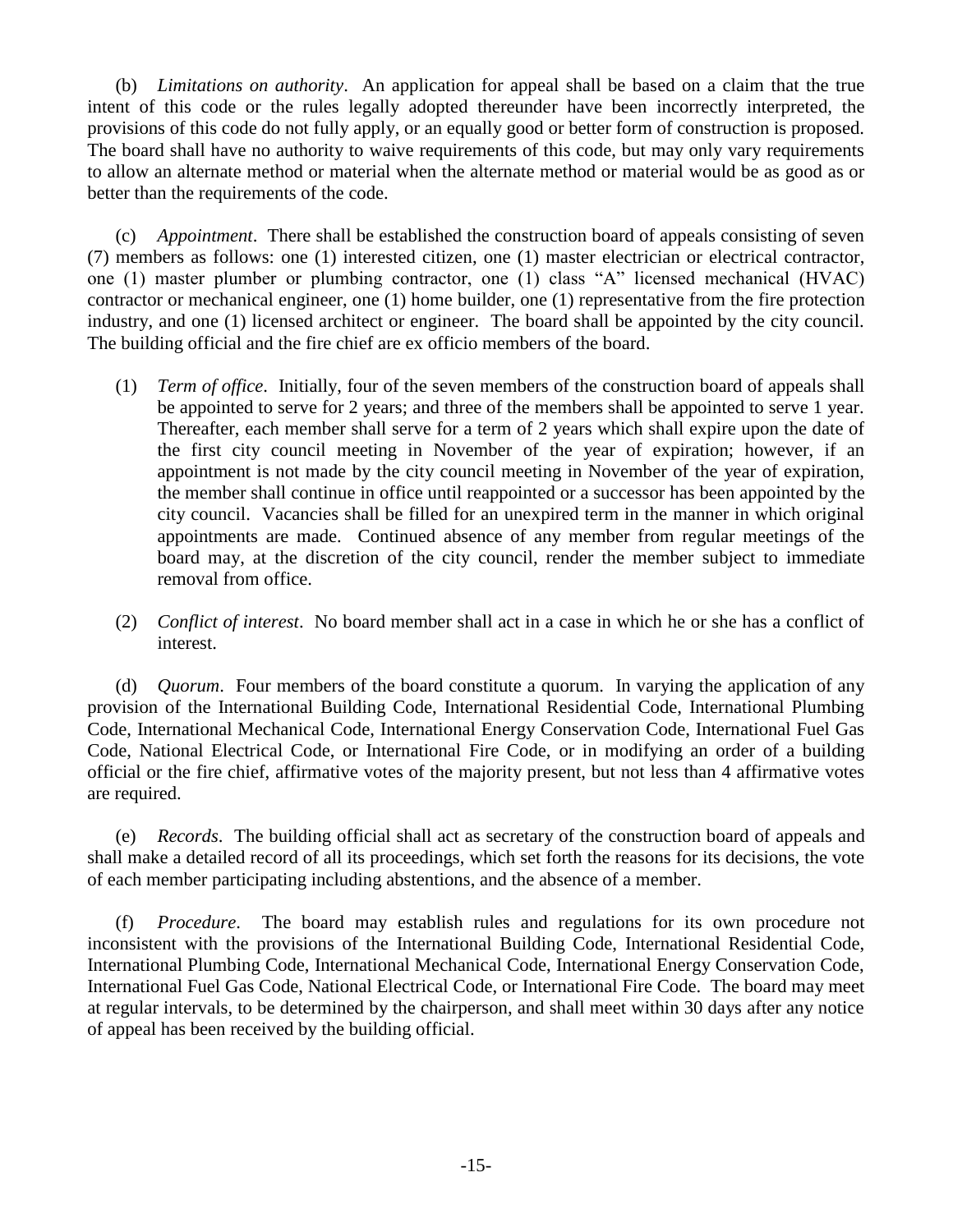(b) *Limitations on authority*. An application for appeal shall be based on a claim that the true intent of this code or the rules legally adopted thereunder have been incorrectly interpreted, the provisions of this code do not fully apply, or an equally good or better form of construction is proposed. The board shall have no authority to waive requirements of this code, but may only vary requirements to allow an alternate method or material when the alternate method or material would be as good as or better than the requirements of the code.

(c) *Appointment*. There shall be established the construction board of appeals consisting of seven (7) members as follows: one (1) interested citizen, one (1) master electrician or electrical contractor, one (1) master plumber or plumbing contractor, one (1) class "A" licensed mechanical (HVAC) contractor or mechanical engineer, one (1) home builder, one (1) representative from the fire protection industry, and one (1) licensed architect or engineer. The board shall be appointed by the city council. The building official and the fire chief are ex officio members of the board.

- (1) *Term of office*. Initially, four of the seven members of the construction board of appeals shall be appointed to serve for 2 years; and three of the members shall be appointed to serve 1 year. Thereafter, each member shall serve for a term of 2 years which shall expire upon the date of the first city council meeting in November of the year of expiration; however, if an appointment is not made by the city council meeting in November of the year of expiration, the member shall continue in office until reappointed or a successor has been appointed by the city council. Vacancies shall be filled for an unexpired term in the manner in which original appointments are made. Continued absence of any member from regular meetings of the board may, at the discretion of the city council, render the member subject to immediate removal from office.
- (2) *Conflict of interest*. No board member shall act in a case in which he or she has a conflict of interest.

(d) *Quorum*. Four members of the board constitute a quorum. In varying the application of any provision of the International Building Code, International Residential Code, International Plumbing Code, International Mechanical Code, International Energy Conservation Code, International Fuel Gas Code, National Electrical Code, or International Fire Code, or in modifying an order of a building official or the fire chief, affirmative votes of the majority present, but not less than 4 affirmative votes are required.

(e) *Records*. The building official shall act as secretary of the construction board of appeals and shall make a detailed record of all its proceedings, which set forth the reasons for its decisions, the vote of each member participating including abstentions, and the absence of a member.

(f) *Procedure*. The board may establish rules and regulations for its own procedure not inconsistent with the provisions of the International Building Code, International Residential Code, International Plumbing Code, International Mechanical Code, International Energy Conservation Code, International Fuel Gas Code, National Electrical Code, or International Fire Code. The board may meet at regular intervals, to be determined by the chairperson, and shall meet within 30 days after any notice of appeal has been received by the building official.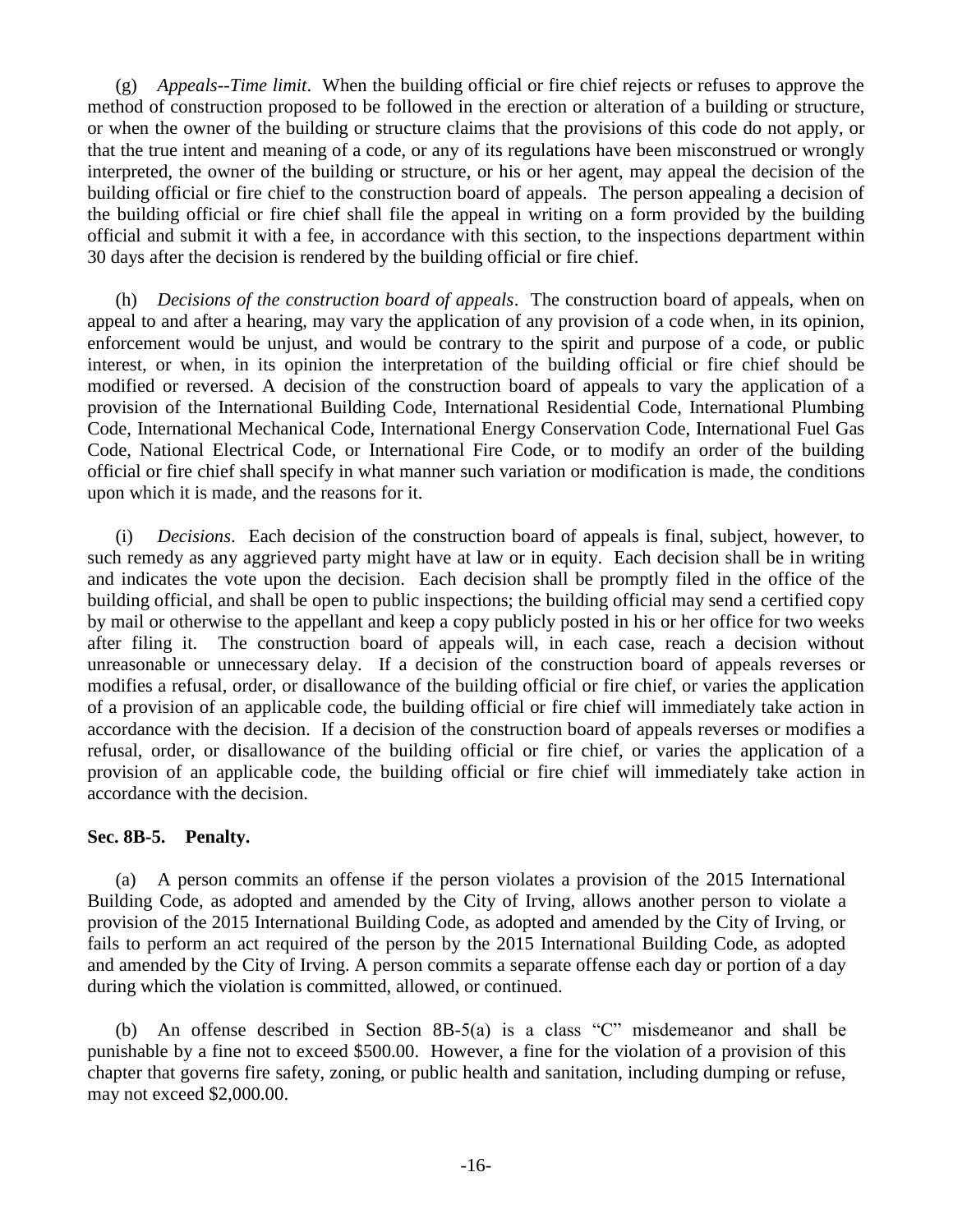(g) *Appeals--Time limit*. When the building official or fire chief rejects or refuses to approve the method of construction proposed to be followed in the erection or alteration of a building or structure, or when the owner of the building or structure claims that the provisions of this code do not apply, or that the true intent and meaning of a code, or any of its regulations have been misconstrued or wrongly interpreted, the owner of the building or structure, or his or her agent, may appeal the decision of the building official or fire chief to the construction board of appeals. The person appealing a decision of the building official or fire chief shall file the appeal in writing on a form provided by the building official and submit it with a fee, in accordance with this section, to the inspections department within 30 days after the decision is rendered by the building official or fire chief.

(h) *Decisions of the construction board of appeals*. The construction board of appeals, when on appeal to and after a hearing, may vary the application of any provision of a code when, in its opinion, enforcement would be unjust, and would be contrary to the spirit and purpose of a code, or public interest, or when, in its opinion the interpretation of the building official or fire chief should be modified or reversed. A decision of the construction board of appeals to vary the application of a provision of the International Building Code, International Residential Code, International Plumbing Code, International Mechanical Code, International Energy Conservation Code, International Fuel Gas Code, National Electrical Code, or International Fire Code, or to modify an order of the building official or fire chief shall specify in what manner such variation or modification is made, the conditions upon which it is made, and the reasons for it.

(i) *Decisions*. Each decision of the construction board of appeals is final, subject, however, to such remedy as any aggrieved party might have at law or in equity. Each decision shall be in writing and indicates the vote upon the decision. Each decision shall be promptly filed in the office of the building official, and shall be open to public inspections; the building official may send a certified copy by mail or otherwise to the appellant and keep a copy publicly posted in his or her office for two weeks after filing it. The construction board of appeals will, in each case, reach a decision without unreasonable or unnecessary delay. If a decision of the construction board of appeals reverses or modifies a refusal, order, or disallowance of the building official or fire chief, or varies the application of a provision of an applicable code, the building official or fire chief will immediately take action in accordance with the decision. If a decision of the construction board of appeals reverses or modifies a refusal, order, or disallowance of the building official or fire chief, or varies the application of a provision of an applicable code, the building official or fire chief will immediately take action in accordance with the decision.

### **Sec. 8B-5. Penalty.**

(a) A person commits an offense if the person violates a provision of the 2015 International Building Code, as adopted and amended by the City of Irving, allows another person to violate a provision of the 2015 International Building Code, as adopted and amended by the City of Irving, or fails to perform an act required of the person by the 2015 International Building Code, as adopted and amended by the City of Irving. A person commits a separate offense each day or portion of a day during which the violation is committed, allowed, or continued.

(b) An offense described in Section 8B-5(a) is a class "C" misdemeanor and shall be punishable by a fine not to exceed \$500.00. However, a fine for the violation of a provision of this chapter that governs fire safety, zoning, or public health and sanitation, including dumping or refuse, may not exceed \$2,000.00.